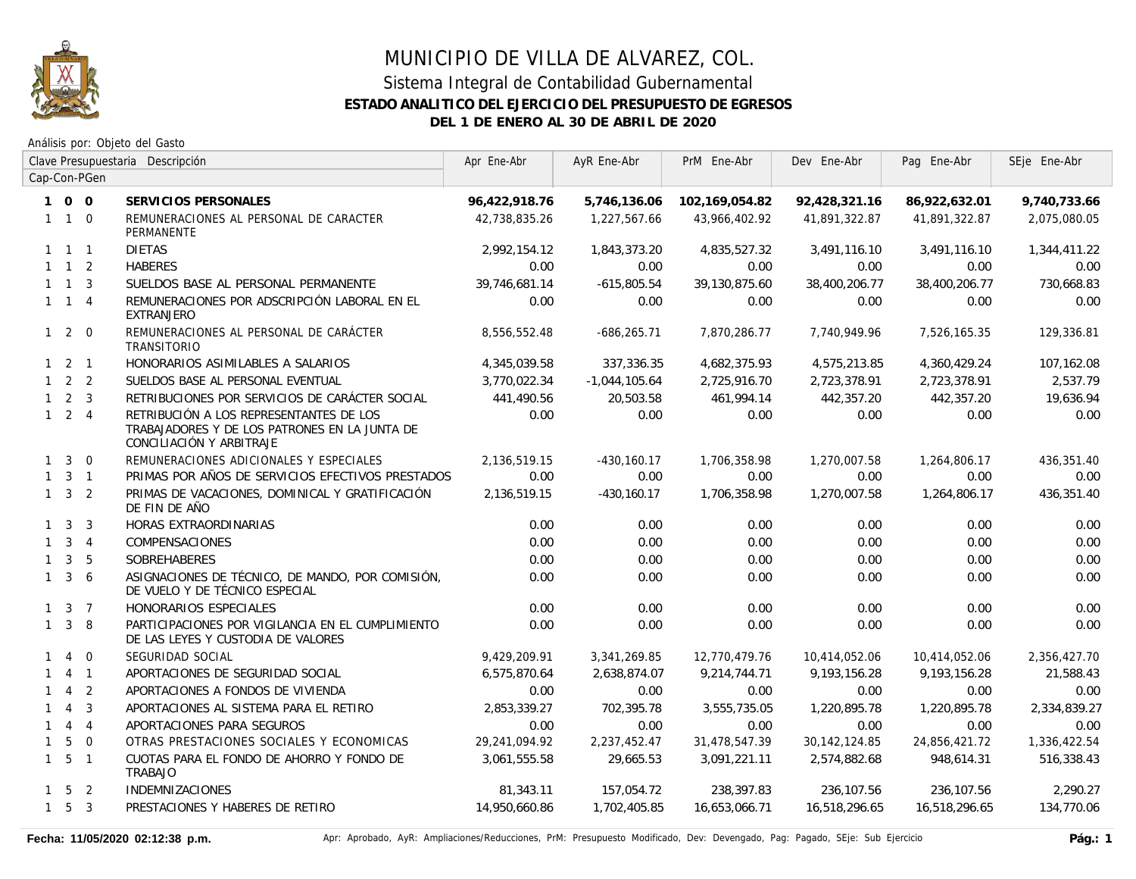

Análisis por: Objeto del Gasto

|              |                     |                | Clave Presupuestaria Descripción                                                                                     | Apr Ene-Abr   | AyR Ene-Abr     | PrM Ene-Abr    | Dev Ene-Abr   | Pag Ene-Abr   | SEje Ene-Abr |
|--------------|---------------------|----------------|----------------------------------------------------------------------------------------------------------------------|---------------|-----------------|----------------|---------------|---------------|--------------|
|              |                     | Cap-Con-PGen   |                                                                                                                      |               |                 |                |               |               |              |
|              | 100                 |                | SERVICIOS PERSONALES                                                                                                 | 96,422,918.76 | 5,746,136.06    | 102,169,054.82 | 92,428,321.16 | 86,922,632.01 | 9,740,733.66 |
|              | $1 \quad 1 \quad 0$ |                | REMUNERACIONES AL PERSONAL DE CARACTER<br>PERMANENTE                                                                 | 42,738,835.26 | 1,227,567.66    | 43,966,402.92  | 41,891,322.87 | 41,891,322.87 | 2,075,080.05 |
|              | $1 \quad 1 \quad 1$ |                | <b>DIETAS</b>                                                                                                        | 2,992,154.12  | 1,843,373.20    | 4,835,527.32   | 3,491,116.10  | 3,491,116.10  | 1,344,411.22 |
|              | $1 \quad 1 \quad 2$ |                | <b>HABERES</b>                                                                                                       | 0.00          | 0.00            | 0.00           | 0.00          | 0.00          | 0.00         |
|              | $1 \quad 1 \quad 3$ |                | SUELDOS BASE AL PERSONAL PERMANENTE                                                                                  | 39,746,681.14 | $-615,805.54$   | 39,130,875.60  | 38,400,206.77 | 38,400,206.77 | 730,668.83   |
|              | $1 \quad 1 \quad 4$ |                | REMUNERACIONES POR ADSCRIPCIÓN LABORAL EN EL<br><b>EXTRANJERO</b>                                                    | 0.00          | 0.00            | 0.00           | 0.00          | 0.00          | 0.00         |
|              | $1 \quad 2 \quad 0$ |                | REMUNERACIONES AL PERSONAL DE CARÁCTER<br>TRANSITORIO                                                                | 8,556,552.48  | $-686, 265.71$  | 7,870,286.77   | 7,740,949.96  | 7,526,165.35  | 129,336.81   |
|              | $1 \quad 2 \quad 1$ |                | HONORARIOS ASIMILABLES A SALARIOS                                                                                    | 4,345,039.58  | 337,336.35      | 4,682,375.93   | 4,575,213.85  | 4,360,429.24  | 107,162.08   |
|              | $1 \quad 2 \quad 2$ |                | SUELDOS BASE AL PERSONAL EVENTUAL                                                                                    | 3,770,022.34  | $-1,044,105.64$ | 2,725,916.70   | 2,723,378.91  | 2,723,378.91  | 2,537.79     |
|              | $1 \quad 2 \quad 3$ |                | RETRIBUCIONES POR SERVICIOS DE CARÁCTER SOCIAL                                                                       | 441,490.56    | 20,503.58       | 461,994.14     | 442,357.20    | 442,357.20    | 19,636.94    |
|              | $1 \quad 2 \quad 4$ |                | RETRIBUCIÓN A LOS REPRESENTANTES DE LOS<br>TRABAJADORES Y DE LOS PATRONES EN LA JUNTA DE<br>CONCILIACIÓN Y ARBITRAJE | 0.00          | 0.00            | 0.00           | 0.00          | 0.00          | 0.00         |
|              | $1 \quad 3$         | $\overline{0}$ | REMUNERACIONES ADICIONALES Y ESPECIALES                                                                              | 2,136,519.15  | $-430, 160.17$  | 1,706,358.98   | 1,270,007.58  | 1,264,806.17  | 436,351.40   |
|              | $1 \quad 3 \quad 1$ |                | PRIMAS POR AÑOS DE SERVICIOS EFECTIVOS PRESTADOS                                                                     | 0.00          | 0.00            | 0.00           | 0.00          | 0.00          | 0.00         |
|              | $1 \quad 3 \quad 2$ |                | PRIMAS DE VACACIONES, DOMINICAL Y GRATIFICACIÓN<br>DE FIN DE AÑO                                                     | 2,136,519.15  | $-430, 160.17$  | 1,706,358.98   | 1,270,007.58  | 1,264,806.17  | 436,351.40   |
|              | $1 \quad 3$         | $\overline{3}$ | HORAS EXTRAORDINARIAS                                                                                                | 0.00          | 0.00            | 0.00           | 0.00          | 0.00          | 0.00         |
|              | $1 \quad 3 \quad 4$ |                | COMPENSACIONES                                                                                                       | 0.00          | 0.00            | 0.00           | 0.00          | 0.00          | 0.00         |
| $\mathbf{1}$ | $\mathbf{3}$        | - 5            | SOBREHABERES                                                                                                         | 0.00          | 0.00            | 0.00           | 0.00          | 0.00          | 0.00         |
| $\mathbf{1}$ | 3 <sup>1</sup>      | 6              | ASIGNACIONES DE TÉCNICO, DE MANDO, POR COMISIÓN,<br>DE VUELO Y DE TÉCNICO ESPECIAL                                   | 0.00          | 0.00            | 0.00           | 0.00          | 0.00          | 0.00         |
|              | $1 \quad 3 \quad 7$ |                | HONORARIOS ESPECIALES                                                                                                | 0.00          | 0.00            | 0.00           | 0.00          | 0.00          | 0.00         |
|              | $1 \quad 3$         | -8             | PARTICIPACIONES POR VIGILANCIA EN EL CUMPLIMIENTO<br>DE LAS LEYES Y CUSTODIA DE VALORES                              | 0.00          | 0.00            | 0.00           | 0.00          | 0.00          | 0.00         |
| $\mathbf{1}$ | $\overline{4}$      | $\overline{0}$ | SEGURIDAD SOCIAL                                                                                                     | 9,429,209.91  | 3,341,269.85    | 12,770,479.76  | 10,414,052.06 | 10,414,052.06 | 2,356,427.70 |
|              |                     | $4 \quad 1$    | APORTACIONES DE SEGURIDAD SOCIAL                                                                                     | 6,575,870.64  | 2,638,874.07    | 9,214,744.71   | 9,193,156.28  | 9,193,156.28  | 21,588.43    |
| $\mathbf{1}$ | $\overline{4}$      | $\overline{2}$ | APORTACIONES A FONDOS DE VIVIENDA                                                                                    | 0.00          | 0.00            | 0.00           | 0.00          | 0.00          | 0.00         |
| $\mathbf{1}$ | $\overline{4}$      | $\overline{3}$ | APORTACIONES AL SISTEMA PARA EL RETIRO                                                                               | 2,853,339.27  | 702,395.78      | 3,555,735.05   | 1,220,895.78  | 1,220,895.78  | 2,334,839.27 |
| $\mathbf{1}$ |                     | $4 \quad 4$    | APORTACIONES PARA SEGUROS                                                                                            | 0.00          | 0.00            | 0.00           | 0.00          | 0.00          | 0.00         |
| $\mathbf{1}$ | 5                   | $\overline{0}$ | OTRAS PRESTACIONES SOCIALES Y ECONOMICAS                                                                             | 29,241,094.92 | 2,237,452.47    | 31,478,547.39  | 30,142,124.85 | 24,856,421.72 | 1,336,422.54 |
|              | $1\quad 5\quad 1$   |                | CUOTAS PARA EL FONDO DE AHORRO Y FONDO DE<br><b>TRABAJO</b>                                                          | 3,061,555.58  | 29,665.53       | 3,091,221.11   | 2,574,882.68  | 948,614.31    | 516,338.43   |
|              | $1 \quad 5 \quad 2$ |                | <b>INDEMNIZACIONES</b>                                                                                               | 81,343.11     | 157,054.72      | 238,397.83     | 236,107.56    | 236,107.56    | 2,290.27     |
|              | $1\quad 5\quad 3$   |                | PRESTACIONES Y HABERES DE RETIRO                                                                                     | 14,950,660.86 | 1,702,405.85    | 16,653,066.71  | 16,518,296.65 | 16,518,296.65 | 134,770.06   |

Fecha: 11/05/2020 02:12:38 p.m. **Aprical Aprical Agelia**, AyR: Ampliaciones/Reducciones, PrM: Presupuesto Modificado, Dev: Devengado, Pag: Pagado, SEje: Sub Ejercicio **Pág.: 1**<br>Pág.: 1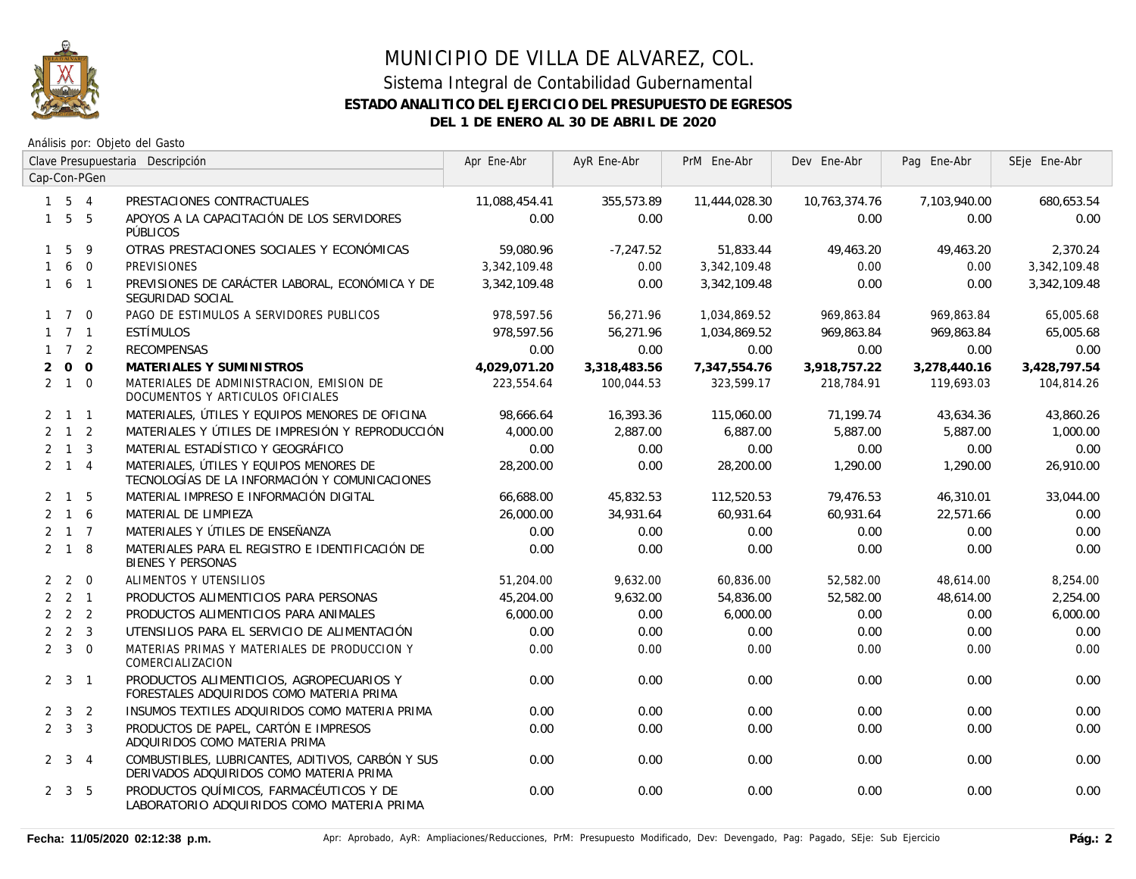

|              |                     |              | Clave Presupuestaria Descripción                                                             | Apr Ene-Abr   | AyR Ene-Abr  | PrM Ene-Abr   | Dev Ene-Abr   | Pag Ene-Abr  | SEje Ene-Abr |
|--------------|---------------------|--------------|----------------------------------------------------------------------------------------------|---------------|--------------|---------------|---------------|--------------|--------------|
|              |                     | Cap-Con-PGen |                                                                                              |               |              |               |               |              |              |
|              | $1\quad 5\quad 4$   |              | PRESTACIONES CONTRACTUALES                                                                   | 11,088,454.41 | 355,573.89   | 11,444,028.30 | 10,763,374.76 | 7,103,940.00 | 680,653.54   |
|              | $1\quad 5\quad 5$   |              | APOYOS A LA CAPACITACIÓN DE LOS SERVIDORES<br>PÚBLICOS                                       | 0.00          | 0.00         | 0.00          | 0.00          | 0.00         | 0.00         |
| $\mathbf{1}$ | 5                   | 9            | OTRAS PRESTACIONES SOCIALES Y ECONÓMICAS                                                     | 59,080.96     | $-7,247.52$  | 51,833.44     | 49,463.20     | 49,463.20    | 2,370.24     |
| $\mathbf{1}$ |                     | 6 0          | <b>PREVISIONES</b>                                                                           | 3,342,109.48  | 0.00         | 3,342,109.48  | 0.00          | 0.00         | 3,342,109.48 |
|              | $1\quad 6\quad 1$   |              | PREVISIONES DE CARÁCTER LABORAL, ECONÓMICA Y DE<br>SEGURIDAD SOCIAL                          | 3,342,109.48  | 0.00         | 3,342,109.48  | 0.00          | 0.00         | 3,342,109.48 |
|              | $1 \quad 7 \quad 0$ |              | PAGO DE ESTIMULOS A SERVIDORES PUBLICOS                                                      | 978,597.56    | 56,271.96    | 1,034,869.52  | 969,863.84    | 969,863.84   | 65,005.68    |
|              | $1 \quad 7 \quad 1$ |              | ESTÍMULOS                                                                                    | 978.597.56    | 56,271.96    | 1,034,869.52  | 969,863.84    | 969.863.84   | 65,005.68    |
|              | $1 \quad 7 \quad 2$ |              | <b>RECOMPENSAS</b>                                                                           | 0.00          | 0.00         | 0.00          | 0.00          | 0.00         | 0.00         |
| 2            |                     | $0\quad 0$   | MATERIALES Y SUMINISTROS                                                                     | 4,029,071.20  | 3,318,483.56 | 7,347,554.76  | 3,918,757.22  | 3,278,440.16 | 3,428,797.54 |
|              | $2 \quad 1 \quad 0$ |              | MATERIALES DE ADMINISTRACION, EMISION DE<br>DOCUMENTOS Y ARTICULOS OFICIALES                 | 223,554.64    | 100,044.53   | 323,599.17    | 218,784.91    | 119,693.03   | 104,814.26   |
|              | $2 \quad 1 \quad 1$ |              | MATERIALES, ÚTILES Y EQUIPOS MENORES DE OFICINA                                              | 98,666.64     | 16,393.36    | 115,060.00    | 71,199.74     | 43,634.36    | 43,860.26    |
|              | $2 \quad 1 \quad 2$ |              | MATERIALES Y ÚTILES DE IMPRESIÓN Y REPRODUCCIÓN                                              | 4,000.00      | 2,887.00     | 6,887.00      | 5,887.00      | 5,887.00     | 1,000.00     |
|              | $2 \quad 1 \quad 3$ |              | MATERIAL ESTADÍSTICO Y GEOGRÁFICO                                                            | 0.00          | 0.00         | 0.00          | 0.00          | 0.00         | 0.00         |
|              | $2 \quad 1 \quad 4$ |              | MATERIALES, ÚTILES Y EQUIPOS MENORES DE<br>TECNOLOGÍAS DE LA INFORMACIÓN Y COMUNICACIONES    | 28,200.00     | 0.00         | 28,200.00     | 1,290.00      | 1,290.00     | 26,910.00    |
|              | $2 \quad 1 \quad 5$ |              | MATERIAL IMPRESO E INFORMACIÓN DIGITAL                                                       | 66,688.00     | 45,832.53    | 112,520.53    | 79,476.53     | 46,310.01    | 33,044.00    |
|              | $2 \t1 \t6$         |              | MATERIAL DE LIMPIEZA                                                                         | 26,000.00     | 34,931.64    | 60,931.64     | 60,931.64     | 22,571.66    | 0.00         |
|              | $2 \quad 1 \quad 7$ |              | MATERIALES Y ÚTILES DE ENSEÑANZA                                                             | 0.00          | 0.00         | 0.00          | 0.00          | 0.00         | 0.00         |
|              | $2 \quad 1 \quad 8$ |              | MATERIALES PARA EL REGISTRO E IDENTIFICACIÓN DE<br><b>BIENES Y PERSONAS</b>                  | 0.00          | 0.00         | 0.00          | 0.00          | 0.00         | 0.00         |
|              | $2\quad 2\quad 0$   |              | ALIMENTOS Y UTENSILIOS                                                                       | 51,204.00     | 9,632.00     | 60,836.00     | 52,582.00     | 48.614.00    | 8,254.00     |
|              | $2 \quad 2 \quad 1$ |              | PRODUCTOS ALIMENTICIOS PARA PERSONAS                                                         | 45,204.00     | 9,632.00     | 54,836.00     | 52,582.00     | 48,614.00    | 2,254.00     |
|              | $2 \quad 2 \quad 2$ |              | PRODUCTOS ALIMENTICIOS PARA ANIMALES                                                         | 6,000.00      | 0.00         | 6,000.00      | 0.00          | 0.00         | 6,000.00     |
|              | $2 \quad 2 \quad 3$ |              | UTENSILIOS PARA EL SERVICIO DE ALIMENTACIÓN                                                  | 0.00          | 0.00         | 0.00          | 0.00          | 0.00         | 0.00         |
|              | $2 \quad 3 \quad 0$ |              | MATERIAS PRIMAS Y MATERIALES DE PRODUCCION Y<br>COMERCIALIZACION                             | 0.00          | 0.00         | 0.00          | 0.00          | 0.00         | 0.00         |
|              | $2 \quad 3 \quad 1$ |              | PRODUCTOS ALIMENTICIOS, AGROPECUARIOS Y<br>FORESTALES ADQUIRIDOS COMO MATERIA PRIMA          | 0.00          | 0.00         | 0.00          | 0.00          | 0.00         | 0.00         |
|              | $2 \quad 3 \quad 2$ |              | INSUMOS TEXTILES ADQUIRIDOS COMO MATERIA PRIMA                                               | 0.00          | 0.00         | 0.00          | 0.00          | 0.00         | 0.00         |
|              | $2 \quad 3 \quad 3$ |              | PRODUCTOS DE PAPEL, CARTÓN E IMPRESOS<br>ADQUIRIDOS COMO MATERIA PRIMA                       | 0.00          | 0.00         | 0.00          | 0.00          | 0.00         | 0.00         |
|              | $2 \quad 3 \quad 4$ |              | COMBUSTIBLES, LUBRICANTES, ADITIVOS, CARBÓN Y SUS<br>DERIVADOS ADQUIRIDOS COMO MATERIA PRIMA | 0.00          | 0.00         | 0.00          | 0.00          | 0.00         | 0.00         |
|              | $2 \quad 3 \quad 5$ |              | PRODUCTOS QUÍMICOS, FARMACÉUTICOS Y DE<br>LABORATORIO ADQUIRIDOS COMO MATERIA PRIMA          | 0.00          | 0.00         | 0.00          | 0.00          | 0.00         | 0.00         |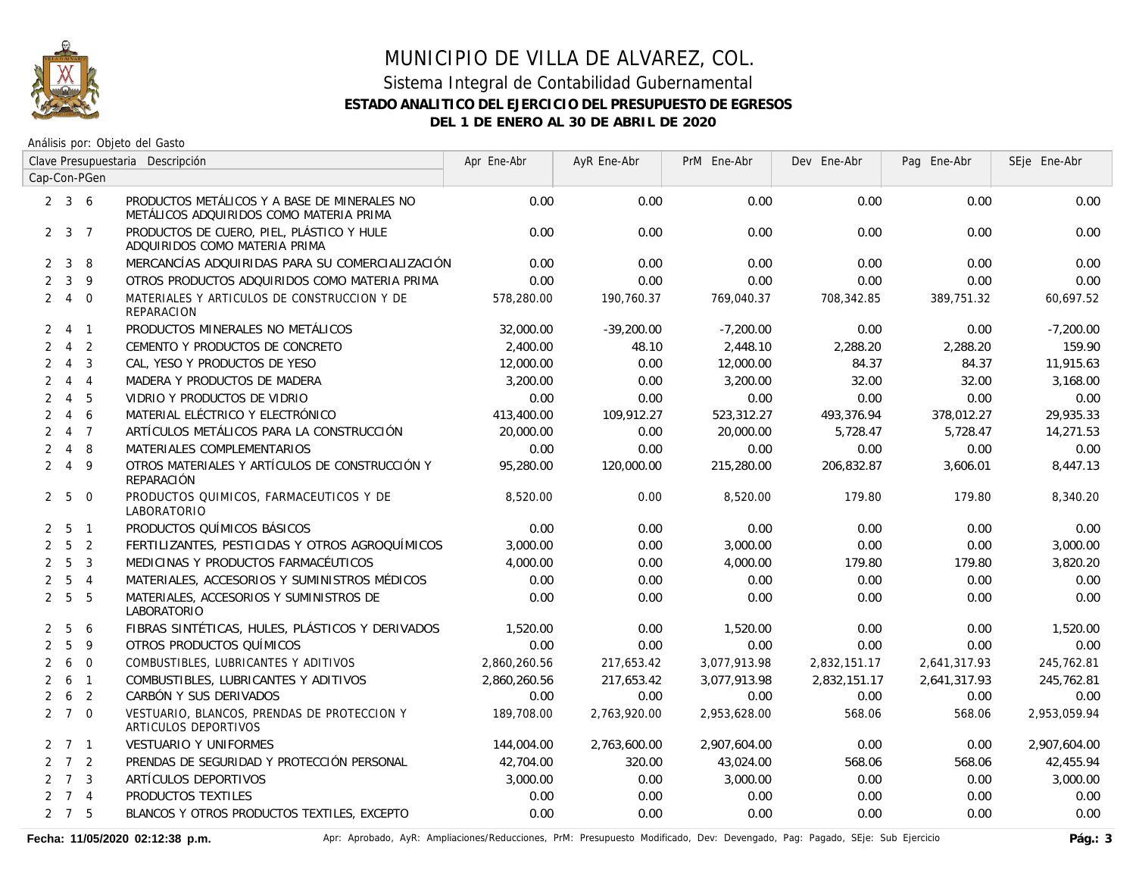

Análisis por: Objeto del Gasto

|                |                     |                | Clave Presupuestaria Descripción                                                        | Apr Ene-Abr  | AyR Ene-Abr  | PrM Ene-Abr  | Dev Ene-Abr  | Pag Ene-Abr  | SEje Ene-Abr |
|----------------|---------------------|----------------|-----------------------------------------------------------------------------------------|--------------|--------------|--------------|--------------|--------------|--------------|
|                |                     | Cap-Con-PGen   |                                                                                         |              |              |              |              |              |              |
|                | $2 \quad 3 \quad 6$ |                | PRODUCTOS METÁLICOS Y A BASE DE MINERALES NO<br>METÁLICOS ADQUIRIDOS COMO MATERIA PRIMA | 0.00         | 0.00         | 0.00         | 0.00         | 0.00         | 0.00         |
|                | $2 \quad 3 \quad 7$ |                | PRODUCTOS DE CUERO, PIEL, PLÁSTICO Y HULE<br>ADQUIRIDOS COMO MATERIA PRIMA              | 0.00         | 0.00         | 0.00         | 0.00         | 0.00         | 0.00         |
| $\mathbf{2}$   | $\mathbf{3}$        | 8              | MERCANCÍAS ADQUIRIDAS PARA SU COMERCIALIZACIÓN                                          | 0.00         | 0.00         | 0.00         | 0.00         | 0.00         | 0.00         |
| $\overline{2}$ | $\mathbf{3}$        | 9              | OTROS PRODUCTOS ADQUIRIDOS COMO MATERIA PRIMA                                           | 0.00         | 0.00         | 0.00         | 0.00         | 0.00         | 0.00         |
|                | $2 \quad 4$         | $\overline{0}$ | MATERIALES Y ARTICULOS DE CONSTRUCCION Y DE<br>REPARACION                               | 578,280.00   | 190,760.37   | 769,040.37   | 708,342.85   | 389,751.32   | 60,697.52    |
| $\overline{2}$ | $\overline{4}$      | $\overline{1}$ | PRODUCTOS MINERALES NO METÁLICOS                                                        | 32,000.00    | $-39,200.00$ | $-7,200.00$  | 0.00         | 0.00         | $-7,200.00$  |
| $\overline{2}$ | $\overline{4}$      | $\overline{2}$ | CEMENTO Y PRODUCTOS DE CONCRETO                                                         | 2,400.00     | 48.10        | 2,448.10     | 2,288.20     | 2,288.20     | 159.90       |
| $\overline{2}$ | $\overline{4}$      | $\overline{3}$ | CAL, YESO Y PRODUCTOS DE YESO                                                           | 12,000.00    | 0.00         | 12,000.00    | 84.37        | 84.37        | 11,915.63    |
| $\overline{2}$ | $\overline{4}$      | $\overline{4}$ | MADERA Y PRODUCTOS DE MADERA                                                            | 3,200.00     | 0.00         | 3,200.00     | 32.00        | 32.00        | 3,168.00     |
| $\overline{2}$ | $\overline{4}$      | 5              | VIDRIO Y PRODUCTOS DE VIDRIO                                                            | 0.00         | 0.00         | 0.00         | 0.00         | 0.00         | 0.00         |
| $\overline{2}$ | $\overline{4}$      | 6              | MATERIAL ELÉCTRICO Y ELECTRÓNICO                                                        | 413,400.00   | 109,912.27   | 523,312.27   | 493,376.94   | 378,012.27   | 29,935.33    |
| $\overline{2}$ | $\overline{4}$      | $\overline{7}$ | ARTÍCULOS METÁLICOS PARA LA CONSTRUCCIÓN                                                | 20,000.00    | 0.00         | 20,000.00    | 5,728.47     | 5,728.47     | 14,271.53    |
| $\overline{2}$ | $\overline{4}$      | 8              | MATERIALES COMPLEMENTARIOS                                                              | 0.00         | 0.00         | 0.00         | 0.00         | 0.00         | 0.00         |
| $\overline{2}$ | $\overline{4}$      | 9              | OTROS MATERIALES Y ARTÍCULOS DE CONSTRUCCIÓN Y<br>REPARACIÓN                            | 95,280.00    | 120,000.00   | 215,280.00   | 206,832.87   | 3,606.01     | 8,447.13     |
| $\mathbf{2}$   | 5                   | $\overline{0}$ | PRODUCTOS QUIMICOS, FARMACEUTICOS Y DE<br>LABORATORIO                                   | 8,520.00     | 0.00         | 8,520.00     | 179.80       | 179.80       | 8,340.20     |
| $\overline{2}$ | 5                   | $\sqrt{1}$     | PRODUCTOS QUÍMICOS BÁSICOS                                                              | 0.00         | 0.00         | 0.00         | 0.00         | 0.00         | 0.00         |
| $\overline{2}$ | 5                   | $\overline{2}$ | FERTILIZANTES, PESTICIDAS Y OTROS AGROQUÍMICOS                                          | 3,000.00     | 0.00         | 3,000.00     | 0.00         | 0.00         | 3,000.00     |
| $\overline{2}$ | 5                   | $\overline{3}$ | MEDICINAS Y PRODUCTOS FARMACÉUTICOS                                                     | 4,000.00     | 0.00         | 4,000.00     | 179.80       | 179.80       | 3,820.20     |
| $\overline{2}$ | 5                   | $\overline{4}$ | MATERIALES, ACCESORIOS Y SUMINISTROS MÉDICOS                                            | 0.00         | 0.00         | 0.00         | 0.00         | 0.00         | 0.00         |
|                | 2 <sub>5</sub>      | 5              | MATERIALES, ACCESORIOS Y SUMINISTROS DE<br>LABORATORIO                                  | 0.00         | 0.00         | 0.00         | 0.00         | 0.00         | 0.00         |
| $\mathbf{2}$   | 5                   | 6              | FIBRAS SINTÉTICAS, HULES, PLÁSTICOS Y DERIVADOS                                         | 1,520.00     | 0.00         | 1,520.00     | 0.00         | 0.00         | 1,520.00     |
| $\overline{2}$ | 5                   | 9              | OTROS PRODUCTOS QUÍMICOS                                                                | 0.00         | 0.00         | 0.00         | 0.00         | 0.00         | 0.00         |
| $\overline{2}$ | 6                   | $\overline{0}$ | COMBUSTIBLES, LUBRICANTES Y ADITIVOS                                                    | 2,860,260.56 | 217,653.42   | 3,077,913.98 | 2,832,151.17 | 2,641,317.93 | 245,762.81   |
| $\overline{2}$ | 6                   | $\overline{1}$ | COMBUSTIBLES, LUBRICANTES Y ADITIVOS                                                    | 2,860,260.56 | 217,653.42   | 3,077,913.98 | 2,832,151.17 | 2,641,317.93 | 245,762.81   |
| $\overline{2}$ |                     | 6 <sub>2</sub> | CARBÓN Y SUS DERIVADOS                                                                  | 0.00         | 0.00         | 0.00         | 0.00         | 0.00         | 0.00         |
|                | $2 \t7 \t0$         |                | VESTUARIO, BLANCOS, PRENDAS DE PROTECCION Y<br>ARTICULOS DEPORTIVOS                     | 189,708.00   | 2,763,920.00 | 2,953,628.00 | 568.06       | 568.06       | 2,953,059.94 |
|                | $2 \quad 7 \quad 1$ |                | VESTUARIO Y UNIFORMES                                                                   | 144,004.00   | 2,763,600.00 | 2,907,604.00 | 0.00         | 0.00         | 2,907,604.00 |
|                | $2 \quad 7 \quad 2$ |                | PRENDAS DE SEGURIDAD Y PROTECCIÓN PERSONAL                                              | 42,704.00    | 320.00       | 43,024.00    | 568.06       | 568.06       | 42,455.94    |
|                | $2 \quad 7 \quad 3$ |                | ARTÍCULOS DEPORTIVOS                                                                    | 3,000.00     | 0.00         | 3,000.00     | 0.00         | 0.00         | 3,000.00     |
|                | $2 \quad 7 \quad 4$ |                | PRODUCTOS TEXTILES                                                                      | 0.00         | 0.00         | 0.00         | 0.00         | 0.00         | 0.00         |
|                | $2 \quad 7 \quad 5$ |                | BLANCOS Y OTROS PRODUCTOS TEXTILES, EXCEPTO                                             | 0.00         | 0.00         | 0.00         | 0.00         | 0.00         | 0.00         |

Fecha: 11/05/2020 02:12:38 p.m. **Aprichationes/Reducciones, PrM: Presupuesto Modificado**, Dev: Devengado, Pag: Pagado, SEje: Sub Ejercicio Pág.: 3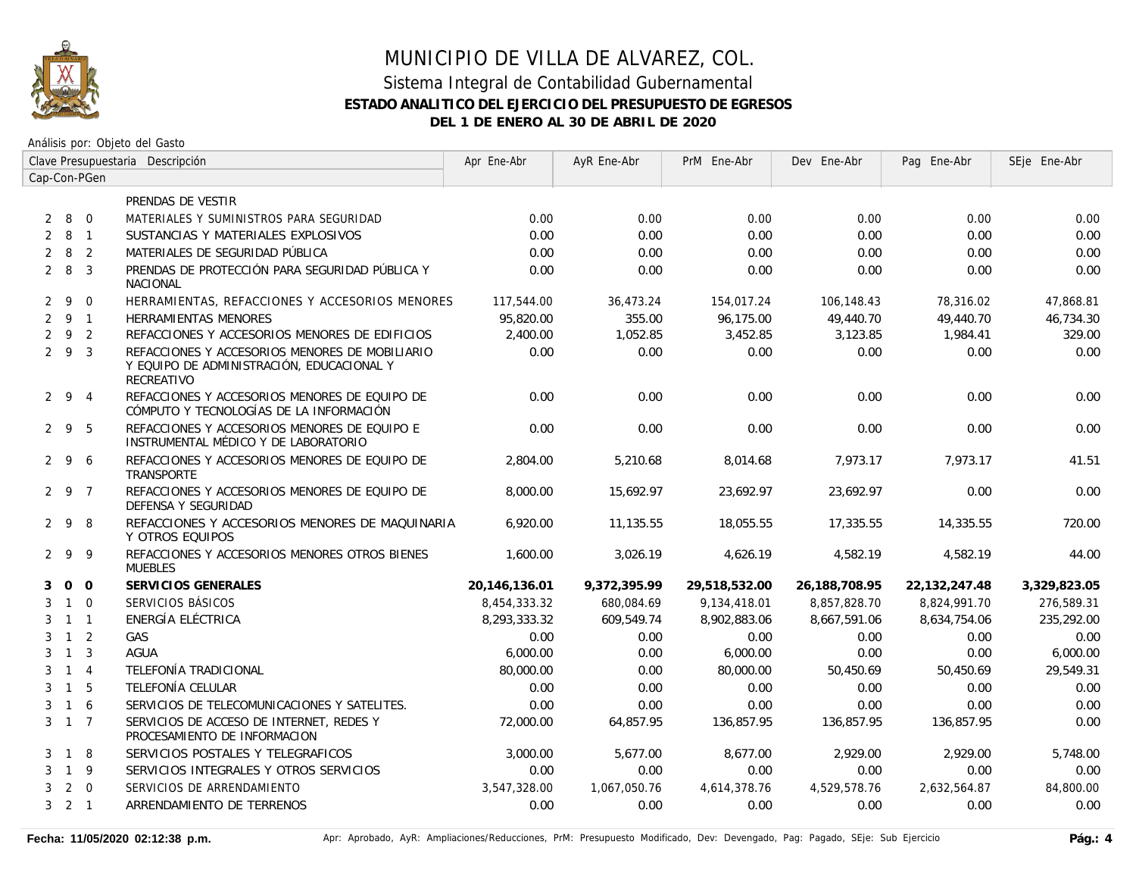

Análisis por: Objeto del Gasto

|                     | Clave Presupuestaria Descripción |                |                                                                                                           | Apr Ene-Abr   | AyR Ene-Abr  | PrM Ene-Abr   | Dev Ene-Abr   | Pag Ene-Abr   | SEje Ene-Abr |
|---------------------|----------------------------------|----------------|-----------------------------------------------------------------------------------------------------------|---------------|--------------|---------------|---------------|---------------|--------------|
| Cap-Con-PGen        |                                  |                |                                                                                                           |               |              |               |               |               |              |
|                     |                                  |                | PRENDAS DE VESTIR                                                                                         |               |              |               |               |               |              |
| 2                   |                                  | 80             | MATERIALES Y SUMINISTROS PARA SEGURIDAD                                                                   | 0.00          | 0.00         | 0.00          | 0.00          | 0.00          | 0.00         |
| 2                   | 8                                | $\overline{1}$ | SUSTANCIAS Y MATERIALES EXPLOSIVOS                                                                        | 0.00          | 0.00         | 0.00          | 0.00          | 0.00          | 0.00         |
| $\overline{2}$      | 8                                | $\overline{2}$ | MATERIALES DE SEGURIDAD PÚBLICA                                                                           | 0.00          | 0.00         | 0.00          | 0.00          | 0.00          | 0.00         |
| $2 \quad 8$         |                                  | $\overline{3}$ | PRENDAS DE PROTECCIÓN PARA SEGURIDAD PÚBLICA Y<br><b>NACIONAL</b>                                         | 0.00          | 0.00         | 0.00          | 0.00          | 0.00          | 0.00         |
| $2 \quad 9$         |                                  | $\overline{0}$ | HERRAMIENTAS, REFACCIONES Y ACCESORIOS MENORES                                                            | 117,544.00    | 36,473.24    | 154,017.24    | 106,148.43    | 78,316.02     | 47,868.81    |
| 291                 |                                  |                | <b>HERRAMIENTAS MENORES</b>                                                                               | 95,820.00     | 355.00       | 96,175.00     | 49,440.70     | 49,440.70     | 46,734.30    |
| $\overline{2}$      |                                  | 9 2            | REFACCIONES Y ACCESORIOS MENORES DE EDIFICIOS                                                             | 2,400.00      | 1,052.85     | 3,452.85      | 3,123.85      | 1,984.41      | 329.00       |
| 293                 |                                  |                | REFACCIONES Y ACCESORIOS MENORES DE MOBILIARIO<br>Y EQUIPO DE ADMINISTRACIÓN, EDUCACIONAL Y<br>RECREATIVO | 0.00          | 0.00         | 0.00          | 0.00          | 0.00          | 0.00         |
| $2 \t9 \t4$         |                                  |                | REFACCIONES Y ACCESORIOS MENORES DE EQUIPO DE<br>CÓMPUTO Y TECNOLOGÍAS DE LA INFORMACIÓN                  | 0.00          | 0.00         | 0.00          | 0.00          | 0.00          | 0.00         |
| 295                 |                                  |                | REFACCIONES Y ACCESORIOS MENORES DE EQUIPO E<br>INSTRUMENTAL MÉDICO Y DE LABORATORIO                      | 0.00          | 0.00         | 0.00          | 0.00          | 0.00          | 0.00         |
| 296                 |                                  |                | REFACCIONES Y ACCESORIOS MENORES DE EQUIPO DE<br>TRANSPORTE                                               | 2,804.00      | 5,210.68     | 8,014.68      | 7,973.17      | 7,973.17      | 41.51        |
| 2 9 7               |                                  |                | REFACCIONES Y ACCESORIOS MENORES DE EQUIPO DE<br>DEFENSA Y SEGURIDAD                                      | 8,000.00      | 15,692.97    | 23,692.97     | 23,692.97     | 0.00          | 0.00         |
| $2\overline{9}$     |                                  | -8             | REFACCIONES Y ACCESORIOS MENORES DE MAQUINARIA<br>Y OTROS EQUIPOS                                         | 6,920.00      | 11,135.55    | 18,055.55     | 17,335.55     | 14,335.55     | 720.00       |
| 299                 |                                  |                | REFACCIONES Y ACCESORIOS MENORES OTROS BIENES<br><b>MUEBLES</b>                                           | 1,600.00      | 3,026.19     | 4,626.19      | 4,582.19      | 4,582.19      | 44.00        |
| 3                   | 0 <sub>0</sub>                   |                | SERVICIOS GENERALES                                                                                       | 20,146,136.01 | 9,372,395.99 | 29,518,532.00 | 26,188,708.95 | 22,132,247.48 | 3,329,823.05 |
| 3                   | $1 \quad 0$                      |                | SERVICIOS BÁSICOS                                                                                         | 8,454,333.32  | 680.084.69   | 9,134,418.01  | 8,857,828.70  | 8,824,991.70  | 276,589.31   |
| 3                   | $1 \quad 1$                      |                | ENERGÍA ELÉCTRICA                                                                                         | 8,293,333.32  | 609,549.74   | 8,902,883.06  | 8,667,591.06  | 8,634,754.06  | 235,292.00   |
| 3                   | $1\quad 2$                       |                | GAS                                                                                                       | 0.00          | 0.00         | 0.00          | 0.00          | 0.00          | 0.00         |
| 3                   | $\overline{1}$                   | $\overline{3}$ | <b>AGUA</b>                                                                                               | 6,000.00      | 0.00         | 6,000.00      | 0.00          | 0.00          | 6,000.00     |
| 3                   | $1 \quad 4$                      |                | TELEFONÍA TRADICIONAL                                                                                     | 80,000.00     | 0.00         | 80,000.00     | 50,450.69     | 50,450.69     | 29,549.31    |
| 3                   | $1\quad5$                        |                | TELEFONÍA CELULAR                                                                                         | 0.00          | 0.00         | 0.00          | 0.00          | 0.00          | 0.00         |
| 3                   | 1 6                              |                | SERVICIOS DE TELECOMUNICACIONES Y SATELITES.                                                              | 0.00          | 0.00         | 0.00          | 0.00          | 0.00          | 0.00         |
| 3 1 7               |                                  |                | SERVICIOS DE ACCESO DE INTERNET. REDES Y<br>PROCESAMIENTO DE INFORMACION                                  | 72,000.00     | 64.857.95    | 136.857.95    | 136,857.95    | 136.857.95    | 0.00         |
| 3                   | 1 8                              |                | SERVICIOS POSTALES Y TELEGRAFICOS                                                                         | 3,000.00      | 5.677.00     | 8,677.00      | 2,929.00      | 2,929.00      | 5,748.00     |
| 3                   | $\overline{1}$                   | 9              | SERVICIOS INTEGRALES Y OTROS SERVICIOS                                                                    | 0.00          | 0.00         | 0.00          | 0.00          | 0.00          | 0.00         |
| 3                   |                                  | $2 \quad 0$    | SERVICIOS DE ARRENDAMIENTO                                                                                | 3,547,328.00  | 1,067,050.76 | 4,614,378.76  | 4,529,578.76  | 2,632,564.87  | 84,800.00    |
| $3 \quad 2 \quad 1$ |                                  |                | ARRENDAMIENTO DE TERRENOS                                                                                 | 0.00          | 0.00         | 0.00          | 0.00          | 0.00          | 0.00         |

Fecha: 11/05/2020 02:12:38 p.m. **Aprichationes/Actiones/Reducciones, PrM: Presupuesto Modificado, Dev: Devengado, Pag: Pagado, SEje: Sub Ejercicio Pág.: 4**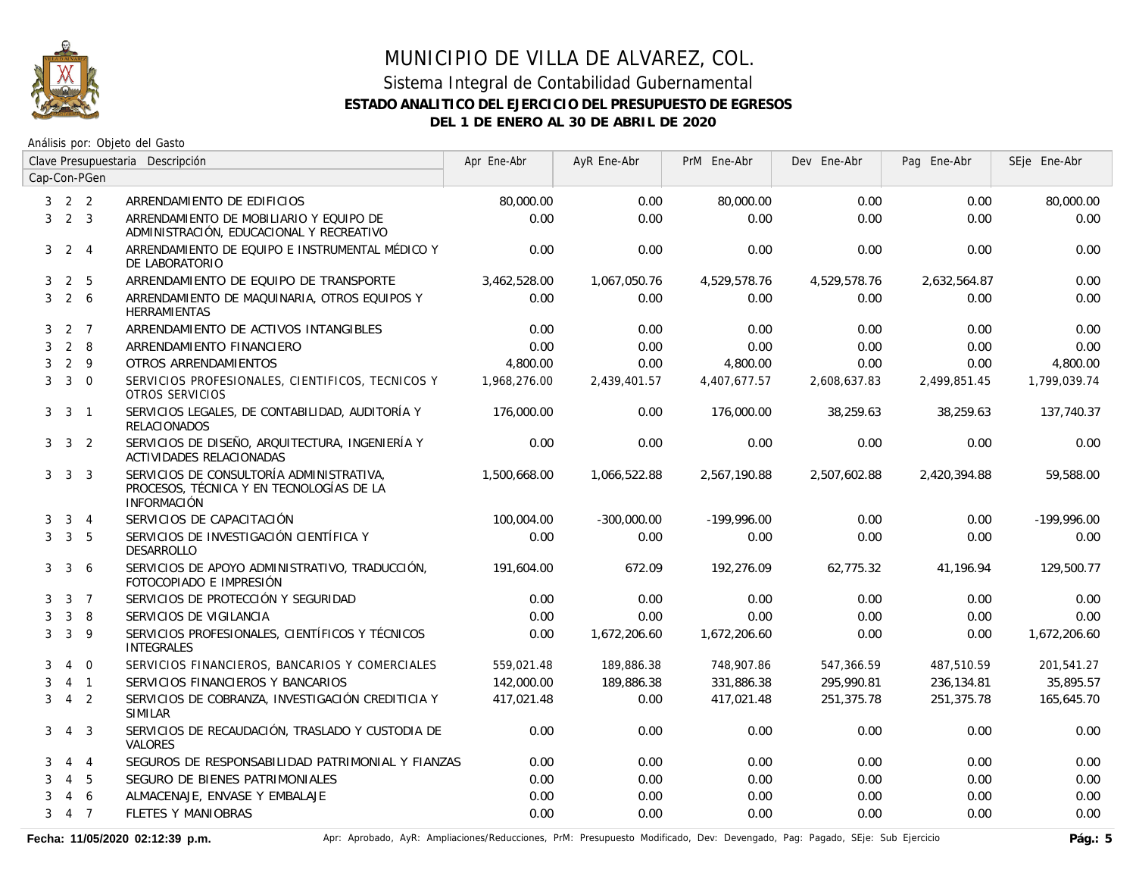

#### Sistema Integral de Contabilidad Gubernamental **ESTADO ANALITICO DEL EJERCICIO DEL PRESUPUESTO DE EGRESOS DEL 1 DE ENERO AL 30 DE ABRIL DE 2020**

Análisis por: Objeto del Gasto

|                |                     |                 | Clave Presupuestaria Descripción                                                                           | Apr Ene-Abr  | AyR Ene-Abr   | PrM Ene-Abr   | Dev Ene-Abr  | Pag Ene-Abr  | SEje Ene-Abr  |
|----------------|---------------------|-----------------|------------------------------------------------------------------------------------------------------------|--------------|---------------|---------------|--------------|--------------|---------------|
|                |                     | Cap-Con-PGen    |                                                                                                            |              |               |               |              |              |               |
|                | $3 \quad 2 \quad 2$ |                 | ARRENDAMIENTO DE EDIFICIOS                                                                                 | 80,000.00    | 0.00          | 80,000.00     | 0.00         | 0.00         | 80,000.00     |
| 3              |                     | $2 \quad 3$     | ARRENDAMIENTO DE MOBILIARIO Y EQUIPO DE<br>ADMINISTRACIÓN, EDUCACIONAL Y RECREATIVO                        | 0.00         | 0.00          | 0.00          | 0.00         | 0.00         | 0.00          |
| 3              |                     | $2 \quad 4$     | ARRENDAMIENTO DE EQUIPO E INSTRUMENTAL MÉDICO Y<br>DE LABORATORIO                                          | 0.00         | 0.00          | 0.00          | 0.00         | 0.00         | 0.00          |
| 3              | 2                   | 5               | ARRENDAMIENTO DE EQUIPO DE TRANSPORTE                                                                      | 3,462,528.00 | 1,067,050.76  | 4,529,578.76  | 4,529,578.76 | 2,632,564.87 | 0.00          |
| 3              |                     | $2\overline{6}$ | ARRENDAMIENTO DE MAQUINARIA, OTROS EQUIPOS Y<br><b>HERRAMIENTAS</b>                                        | 0.00         | 0.00          | 0.00          | 0.00         | 0.00         | 0.00          |
| 3              |                     | 2 7             | ARRENDAMIENTO DE ACTIVOS INTANGIBLES                                                                       | 0.00         | 0.00          | 0.00          | 0.00         | 0.00         | 0.00          |
| 3              |                     | $2 \quad 8$     | ARRENDAMIENTO FINANCIERO                                                                                   | 0.00         | 0.00          | 0.00          | 0.00         | 0.00         | 0.00          |
| 3              |                     | $2 \quad 9$     | OTROS ARRENDAMIENTOS                                                                                       | 4,800.00     | 0.00          | 4,800.00      | 0.00         | 0.00         | 4,800.00      |
| 3              |                     | $3 \quad 0$     | SERVICIOS PROFESIONALES, CIENTIFICOS, TECNICOS Y<br>OTROS SERVICIOS                                        | 1,968,276.00 | 2,439,401.57  | 4,407,677.57  | 2,608,637.83 | 2,499,851.45 | 1,799,039.74  |
| 3              | $\mathbf{3}$        | $\overline{1}$  | SERVICIOS LEGALES, DE CONTABILIDAD, AUDITORÍA Y<br><b>RELACIONADOS</b>                                     | 176,000.00   | 0.00          | 176,000.00    | 38.259.63    | 38,259.63    | 137.740.37    |
|                | $3 \quad 3 \quad 2$ |                 | SERVICIOS DE DISEÑO, ARQUITECTURA, INGENIERÍA Y<br>ACTIVIDADES RELACIONADAS                                | 0.00         | 0.00          | 0.00          | 0.00         | 0.00         | 0.00          |
| 3 <sup>1</sup> |                     | 3 3             | SERVICIOS DE CONSULTORÍA ADMINISTRATIVA,<br>PROCESOS, TÉCNICA Y EN TECNOLOGÍAS DE LA<br><b>INFORMACIÓN</b> | 1,500,668.00 | 1,066,522.88  | 2,567,190.88  | 2,507,602.88 | 2,420,394.88 | 59,588.00     |
| 3              |                     | $3 \quad 4$     | SERVICIOS DE CAPACITACIÓN                                                                                  | 100,004.00   | $-300,000.00$ | $-199,996.00$ | 0.00         | 0.00         | $-199,996.00$ |
| 3              |                     | 3 <sub>5</sub>  | SERVICIOS DE INVESTIGACIÓN CIENTÍFICA Y<br><b>DESARROLLO</b>                                               | 0.00         | 0.00          | 0.00          | 0.00         | 0.00         | 0.00          |
| 3              | $\mathbf{3}$        | 6               | SERVICIOS DE APOYO ADMINISTRATIVO, TRADUCCIÓN,<br>FOTOCOPIADO E IMPRESIÓN                                  | 191,604.00   | 672.09        | 192,276.09    | 62,775.32    | 41,196.94    | 129,500.77    |
| 3              |                     | 3 <sub>7</sub>  | SERVICIOS DE PROTECCIÓN Y SEGURIDAD                                                                        | 0.00         | 0.00          | 0.00          | 0.00         | 0.00         | 0.00          |
| 3              | 3                   | 8               | SERVICIOS DE VIGILANCIA                                                                                    | 0.00         | 0.00          | 0.00          | 0.00         | 0.00         | 0.00          |
| 3              | 3                   | 9               | SERVICIOS PROFESIONALES, CIENTÍFICOS Y TÉCNICOS<br><b>INTEGRALES</b>                                       | 0.00         | 1,672,206.60  | 1,672,206.60  | 0.00         | 0.00         | 1,672,206.60  |
| 3              | $\overline{4}$      | $\overline{0}$  | SERVICIOS FINANCIEROS, BANCARIOS Y COMERCIALES                                                             | 559,021.48   | 189,886.38    | 748,907.86    | 547,366.59   | 487,510.59   | 201,541.27    |
| 3              |                     | $4 \quad 1$     | SERVICIOS FINANCIEROS Y BANCARIOS                                                                          | 142,000.00   | 189,886.38    | 331,886.38    | 295,990.81   | 236,134.81   | 35,895.57     |
| 3              | $\overline{4}$      | $\overline{2}$  | SERVICIOS DE COBRANZA, INVESTIGACIÓN CREDITICIA Y<br><b>SIMILAR</b>                                        | 417,021.48   | 0.00          | 417,021.48    | 251,375.78   | 251,375.78   | 165,645.70    |
| 3              |                     | 4 3             | SERVICIOS DE RECAUDACIÓN, TRASLADO Y CUSTODIA DE<br><b>VALORES</b>                                         | 0.00         | 0.00          | 0.00          | 0.00         | 0.00         | 0.00          |
| 3              |                     | $4\quad 4$      | SEGUROS DE RESPONSABILIDAD PATRIMONIAL Y FIANZAS                                                           | 0.00         | 0.00          | 0.00          | 0.00         | 0.00         | 0.00          |
| 3              | $\overline{4}$      | 5               | SEGURO DE BIENES PATRIMONIALES                                                                             | 0.00         | 0.00          | 0.00          | 0.00         | 0.00         | 0.00          |
| 3              | 4                   | 6               | ALMACENAJE, ENVASE Y EMBALAJE                                                                              | 0.00         | 0.00          | 0.00          | 0.00         | 0.00         | 0.00          |
| 3              |                     | 4 7             | FLETES Y MANIOBRAS                                                                                         | 0.00         | 0.00          | 0.00          | 0.00         | 0.00         | 0.00          |

Fecha: 11/05/2020 02:12:39 p.m. **Aprichationes/Reducciones, PrM: Presupuesto Modificado**, Dev: Devengado, Pag: Pagado, SEje: Sub Ejercicio Pág.: 5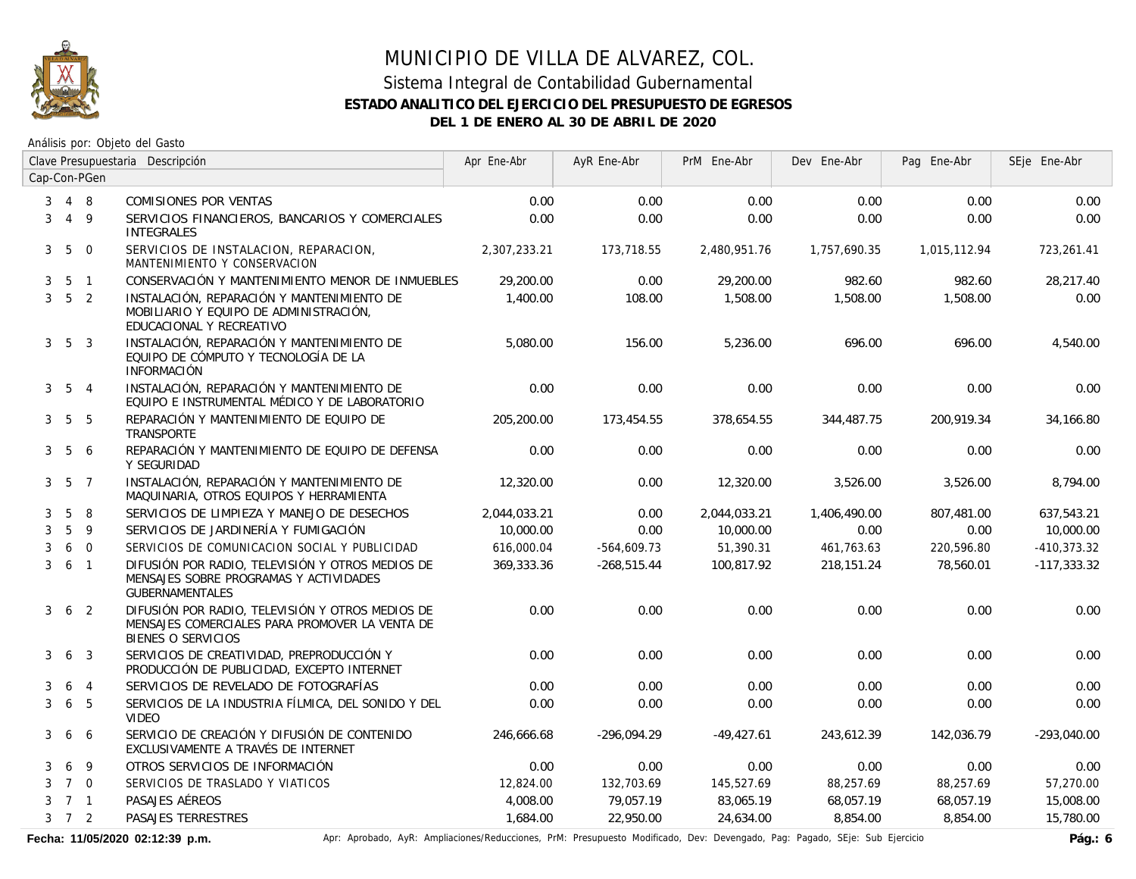

#### Sistema Integral de Contabilidad Gubernamental **ESTADO ANALITICO DEL EJERCICIO DEL PRESUPUESTO DE EGRESOS DEL 1 DE ENERO AL 30 DE ABRIL DE 2020**

Análisis por: Objeto del Gasto

|                |                     |                 | Clave Presupuestaria Descripción                                                                                                | Apr Ene-Abr  | AyR Ene-Abr   | PrM Ene-Abr  | Dev Ene-Abr  | Pag Ene-Abr  | SEje Ene-Abr  |
|----------------|---------------------|-----------------|---------------------------------------------------------------------------------------------------------------------------------|--------------|---------------|--------------|--------------|--------------|---------------|
|                |                     | Cap-Con-PGen    |                                                                                                                                 |              |               |              |              |              |               |
| 3              | 4 8                 |                 | COMISIONES POR VENTAS                                                                                                           | 0.00         | 0.00          | 0.00         | 0.00         | 0.00         | 0.00          |
| 3              |                     | $4\overline{9}$ | SERVICIOS FINANCIEROS, BANCARIOS Y COMERCIALES<br><b>INTEGRALES</b>                                                             | 0.00         | 0.00          | 0.00         | 0.00         | 0.00         | 0.00          |
| 3 <sup>7</sup> | $5\overline{)}$     | $\overline{0}$  | SERVICIOS DE INSTALACION, REPARACION,<br>MANTENIMIENTO Y CONSERVACION                                                           | 2,307,233.21 | 173,718.55    | 2,480,951.76 | 1,757,690.35 | 1,015,112.94 | 723,261.41    |
| 3              |                     | 5 1             | CONSERVACIÓN Y MANTENIMIENTO MENOR DE INMUEBLES                                                                                 | 29,200.00    | 0.00          | 29,200.00    | 982.60       | 982.60       | 28,217.40     |
|                | $3\quad 5\quad 2$   |                 | INSTALACIÓN, REPARACIÓN Y MANTENIMIENTO DE<br>MOBILIARIO Y EQUIPO DE ADMINISTRACIÓN,<br>EDUCACIONAL Y RECREATIVO                | 1,400.00     | 108.00        | 1,508.00     | 1,508.00     | 1,508.00     | 0.00          |
|                | $3\quad 5\quad 3$   |                 | INSTALACIÓN, REPARACIÓN Y MANTENIMIENTO DE<br>EQUIPO DE CÓMPUTO Y TECNOLOGÍA DE LA<br><b>INFORMACIÓN</b>                        | 5,080.00     | 156.00        | 5,236.00     | 696.00       | 696.00       | 4,540.00      |
|                | $3\quad 5\quad 4$   |                 | INSTALACIÓN, REPARACIÓN Y MANTENIMIENTO DE<br>EQUIPO E INSTRUMENTAL MÉDICO Y DE LABORATORIO                                     | 0.00         | 0.00          | 0.00         | 0.00         | 0.00         | 0.00          |
|                | $3\quad 5\quad 5$   |                 | REPARACIÓN Y MANTENIMIENTO DE EQUIPO DE<br><b>TRANSPORTE</b>                                                                    | 205,200.00   | 173,454.55    | 378,654.55   | 344,487.75   | 200,919.34   | 34,166.80     |
|                | $3\quad 5$          | -6              | REPARACIÓN Y MANTENIMIENTO DE EQUIPO DE DEFENSA<br>Y SEGURIDAD                                                                  | 0.00         | 0.00          | 0.00         | 0.00         | 0.00         | 0.00          |
|                | $3\quad 5\quad 7$   |                 | INSTALACIÓN, REPARACIÓN Y MANTENIMIENTO DE<br>MAQUINARIA, OTROS EQUIPOS Y HERRAMIENTA                                           | 12,320.00    | 0.00          | 12,320.00    | 3,526.00     | 3,526.00     | 8,794.00      |
| 3              | 5                   | 8               | SERVICIOS DE LIMPIEZA Y MANEJO DE DESECHOS                                                                                      | 2,044,033.21 | 0.00          | 2,044,033.21 | 1,406,490.00 | 807,481.00   | 637,543.21    |
| 3              | 5                   | 9               | SERVICIOS DE JARDINERÍA Y FUMIGACIÓN                                                                                            | 10,000.00    | 0.00          | 10,000.00    | 0.00         | 0.00         | 10,000.00     |
| 3              |                     | 6 0             | SERVICIOS DE COMUNICACION SOCIAL Y PUBLICIDAD                                                                                   | 616,000.04   | $-564,609.73$ | 51,390.31    | 461,763.63   | 220,596.80   | $-410,373.32$ |
| 3              | 6 <sub>1</sub>      |                 | DIFUSIÓN POR RADIO, TELEVISIÓN Y OTROS MEDIOS DE<br>MENSAJES SOBRE PROGRAMAS Y ACTIVIDADES<br><b>GUBERNAMENTALES</b>            | 369,333.36   | $-268,515.44$ | 100,817.92   | 218,151.24   | 78,560.01    | $-117,333.32$ |
| 3              |                     | 6 <sub>2</sub>  | DIFUSIÓN POR RADIO, TELEVISIÓN Y OTROS MEDIOS DE<br>MENSAJES COMERCIALES PARA PROMOVER LA VENTA DE<br><b>BIENES O SERVICIOS</b> | 0.00         | 0.00          | 0.00         | 0.00         | 0.00         | 0.00          |
| 3              |                     | 6 <sub>3</sub>  | SERVICIOS DE CREATIVIDAD, PREPRODUCCIÓN Y<br>PRODUCCIÓN DE PUBLICIDAD, EXCEPTO INTERNET                                         | 0.00         | 0.00          | 0.00         | 0.00         | 0.00         | 0.00          |
| 3              | 6                   | $\overline{4}$  | SERVICIOS DE REVELADO DE FOTOGRAFÍAS                                                                                            | 0.00         | 0.00          | 0.00         | 0.00         | 0.00         | 0.00          |
| 3              | 6                   | 5               | SERVICIOS DE LA INDUSTRIA FÍLMICA, DEL SONIDO Y DEL<br><b>VIDEO</b>                                                             | 0.00         | 0.00          | 0.00         | 0.00         | 0.00         | 0.00          |
| 3              |                     | 6 6             | SERVICIO DE CREACIÓN Y DIFUSIÓN DE CONTENIDO<br>EXCLUSIVAMENTE A TRAVÉS DE INTERNET                                             | 246.666.68   | $-296.094.29$ | $-49,427.61$ | 243,612.39   | 142,036.79   | $-293,040.00$ |
| 3              | 6                   | 9               | OTROS SERVICIOS DE INFORMACIÓN                                                                                                  | 0.00         | 0.00          | 0.00         | 0.00         | 0.00         | 0.00          |
| 3              | 7 0                 |                 | SERVICIOS DE TRASLADO Y VIATICOS                                                                                                | 12,824.00    | 132,703.69    | 145,527.69   | 88,257.69    | 88,257.69    | 57,270.00     |
| 3              | 7 1                 |                 | PASAJES AÉREOS                                                                                                                  | 4,008.00     | 79,057.19     | 83,065.19    | 68,057.19    | 68,057.19    | 15,008.00     |
|                | $3 \quad 7 \quad 2$ |                 | PASAJES TERRESTRES                                                                                                              | 1,684.00     | 22,950.00     | 24,634.00    | 8,854.00     | 8,854.00     | 15,780.00     |

Fecha: 11/05/2020 02:12:39 p.m. **Aprical Aprical AyR: Ampliaciones/Reducciones**, PrM: Presupuesto Modificado, Dev: Devengado, Pag: Pagado, SEje: Sub Ejercicio Pág.: 6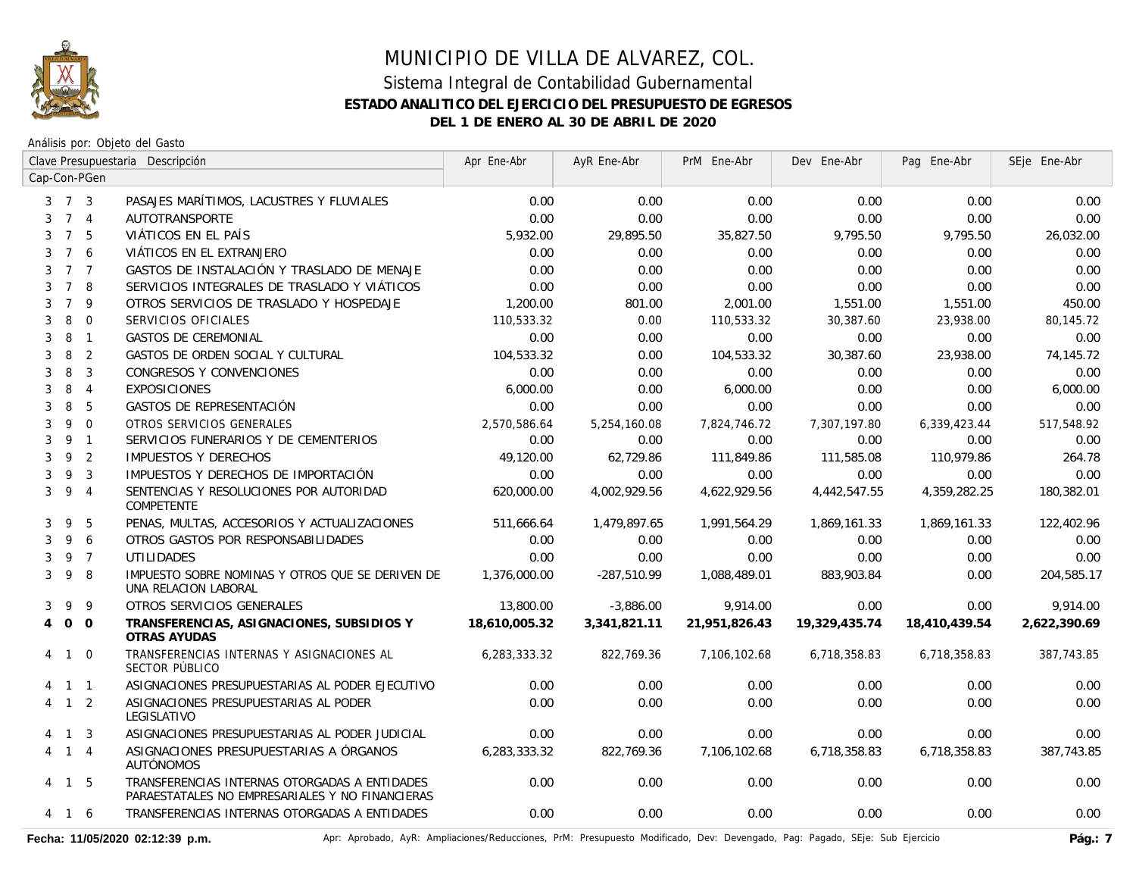

Análisis por: Objeto del Gasto

|                |                     |                         | Clave Presupuestaria Descripción                                                                 | Apr Ene-Abr   | AyR Ene-Abr  | PrM Ene-Abr   | Dev Ene-Abr   | Pag Ene-Abr   | SEje Ene-Abr |
|----------------|---------------------|-------------------------|--------------------------------------------------------------------------------------------------|---------------|--------------|---------------|---------------|---------------|--------------|
|                |                     | Cap-Con-PGen            |                                                                                                  |               |              |               |               |               |              |
|                | $3 \quad 7 \quad 3$ |                         | PASAJES MARÍTIMOS, LACUSTRES Y FLUVIALES                                                         | 0.00          | 0.00         | 0.00          | 0.00          | 0.00          | 0.00         |
|                | 7 <sub>4</sub>      |                         | <b>AUTOTRANSPORTE</b>                                                                            | 0.00          | 0.00         | 0.00          | 0.00          | 0.00          | 0.00         |
| 3              | $7^{\circ}$         | - 5                     | VIÁTICOS EN EL PAÍS                                                                              | 5,932.00      | 29,895.50    | 35,827.50     | 9,795.50      | 9,795.50      | 26,032.00    |
| 3              | $7^{\circ}$         | 6                       | VIÁTICOS EN EL EXTRANJERO                                                                        | 0.00          | 0.00         | 0.00          | 0.00          | 0.00          | 0.00         |
| 3              | 7 <sub>7</sub>      |                         | GASTOS DE INSTALACIÓN Y TRASLADO DE MENAJE                                                       | 0.00          | 0.00         | 0.00          | 0.00          | 0.00          | 0.00         |
| 3              | $7^{\circ}$         | -8                      | SERVICIOS INTEGRALES DE TRASLADO Y VIÁTICOS                                                      | 0.00          | 0.00         | 0.00          | 0.00          | 0.00          | 0.00         |
| 3              | $\overline{7}$      | 9                       | OTROS SERVICIOS DE TRASLADO Y HOSPEDAJE                                                          | 1,200.00      | 801.00       | 2,001.00      | 1,551.00      | 1,551.00      | 450.00       |
| 3              | 8                   | $\mathbf 0$             | SERVICIOS OFICIALES                                                                              | 110,533.32    | 0.00         | 110,533.32    | 30,387.60     | 23,938.00     | 80,145.72    |
| 3              | 8                   | $\overline{1}$          | <b>GASTOS DE CEREMONIAL</b>                                                                      | 0.00          | 0.00         | 0.00          | 0.00          | 0.00          | 0.00         |
| 3              | 8                   | $\overline{2}$          | GASTOS DE ORDEN SOCIAL Y CULTURAL                                                                | 104,533.32    | 0.00         | 104,533.32    | 30,387.60     | 23,938.00     | 74,145.72    |
| 3              | 8                   | $\overline{3}$          | CONGRESOS Y CONVENCIONES                                                                         | 0.00          | 0.00         | 0.00          | 0.00          | 0.00          | 0.00         |
| 3              | 8                   | $\overline{4}$          | <b>EXPOSICIONES</b>                                                                              | 6,000.00      | 0.00         | 6,000.00      | 0.00          | 0.00          | 6,000.00     |
| 3              | 8                   | 5                       | GASTOS DE REPRESENTACIÓN                                                                         | 0.00          | 0.00         | 0.00          | 0.00          | 0.00          | 0.00         |
| 3              | 9                   | $\overline{0}$          | OTROS SERVICIOS GENERALES                                                                        | 2,570,586.64  | 5,254,160.08 | 7,824,746.72  | 7,307,197.80  | 6,339,423.44  | 517,548.92   |
| 3              | 9 1                 |                         | SERVICIOS FUNERARIOS Y DE CEMENTERIOS                                                            | 0.00          | 0.00         | 0.00          | 0.00          | 0.00          | 0.00         |
| 3              | 9                   | $\overline{2}$          | <b>IMPUESTOS Y DERECHOS</b>                                                                      | 49,120.00     | 62,729.86    | 111,849.86    | 111,585.08    | 110,979.86    | 264.78       |
| 3              | 9                   | $\overline{3}$          | IMPUESTOS Y DERECHOS DE IMPORTACIÓN                                                              | 0.00          | 0.00         | 0.00          | 0.00          | 0.00          | 0.00         |
| 3              | 9                   | $\overline{4}$          | SENTENCIAS Y RESOLUCIONES POR AUTORIDAD<br><b>COMPETENTE</b>                                     | 620,000.00    | 4,002,929.56 | 4,622,929.56  | 4,442,547.55  | 4,359,282.25  | 180,382.01   |
| 3              | 9                   | 5                       | PENAS, MULTAS, ACCESORIOS Y ACTUALIZACIONES                                                      | 511,666.64    | 1,479,897.65 | 1,991,564.29  | 1,869,161.33  | 1,869,161.33  | 122,402.96   |
| 3              | 9                   | 6                       | OTROS GASTOS POR RESPONSABILIDADES                                                               | 0.00          | 0.00         | 0.00          | 0.00          | 0.00          | 0.00         |
| 3              | 9 7                 |                         | <b>UTILIDADES</b>                                                                                | 0.00          | 0.00         | 0.00          | 0.00          | 0.00          | 0.00         |
| 3              | 9                   | - 8                     | IMPUESTO SOBRE NOMINAS Y OTROS QUE SE DERIVEN DE<br>UNA RELACION LABORAL                         | 1,376,000.00  | -287.510.99  | 1.088.489.01  | 883,903.84    | 0.00          | 204,585.17   |
| 3              | 9                   | 9                       | OTROS SERVICIOS GENERALES                                                                        | 13,800.00     | $-3,886.00$  | 9,914.00      | 0.00          | 0.00          | 9,914.00     |
| $\overline{4}$ | $0\quad 0$          |                         | TRANSFERENCIAS, ASIGNACIONES, SUBSIDIOS Y<br><b>OTRAS AYUDAS</b>                                 | 18,610,005.32 | 3,341,821.11 | 21,951,826.43 | 19,329,435.74 | 18,410,439.54 | 2,622,390.69 |
| 4              | $\overline{1}$      | $\overline{0}$          | TRANSFERENCIAS INTERNAS Y ASIGNACIONES AL<br>SECTOR PÚBLICO                                      | 6,283,333.32  | 822,769.36   | 7,106,102.68  | 6,718,358.83  | 6,718,358.83  | 387,743.85   |
|                | $1\quad1$           |                         | ASIGNACIONES PRESUPUESTARIAS AL PODER EJECUTIVO                                                  | 0.00          | 0.00         | 0.00          | 0.00          | 0.00          | 0.00         |
|                | $1\quad2$           |                         | ASIGNACIONES PRESUPUESTARIAS AL PODER<br>LEGISLATIVO                                             | 0.00          | 0.00         | 0.00          | 0.00          | 0.00          | 0.00         |
|                | $\overline{1}$      | $\overline{\mathbf{3}}$ | ASIGNACIONES PRESUPUESTARIAS AL PODER JUDICIAL                                                   | 0.00          | 0.00         | 0.00          | 0.00          | 0.00          | 0.00         |
| 4              | $1 \quad 4$         |                         | ASIGNACIONES PRESUPUESTARIAS A ÓRGANOS<br><b>AUTÓNOMOS</b>                                       | 6,283,333.32  | 822,769.36   | 7,106,102.68  | 6,718,358.83  | 6,718,358.83  | 387,743.85   |
|                | 4 1 5               |                         | TRANSFERENCIAS INTERNAS OTORGADAS A ENTIDADES<br>PARAESTATALES NO EMPRESARIALES Y NO FINANCIERAS | 0.00          | 0.00         | 0.00          | 0.00          | 0.00          | 0.00         |
|                | 4 1 6               |                         | TRANSFERENCIAS INTERNAS OTORGADAS A ENTIDADES                                                    | 0.00          | 0.00         | 0.00          | 0.00          | 0.00          | 0.00         |

Fecha: 11/05/2020 02:12:39 p.m. **Aprichationes/Reducciones, PrM: Presupuesto Modificado**, Dev: Devengado, Pag: Pagado, SEje: Sub Ejercicio Pág.: 7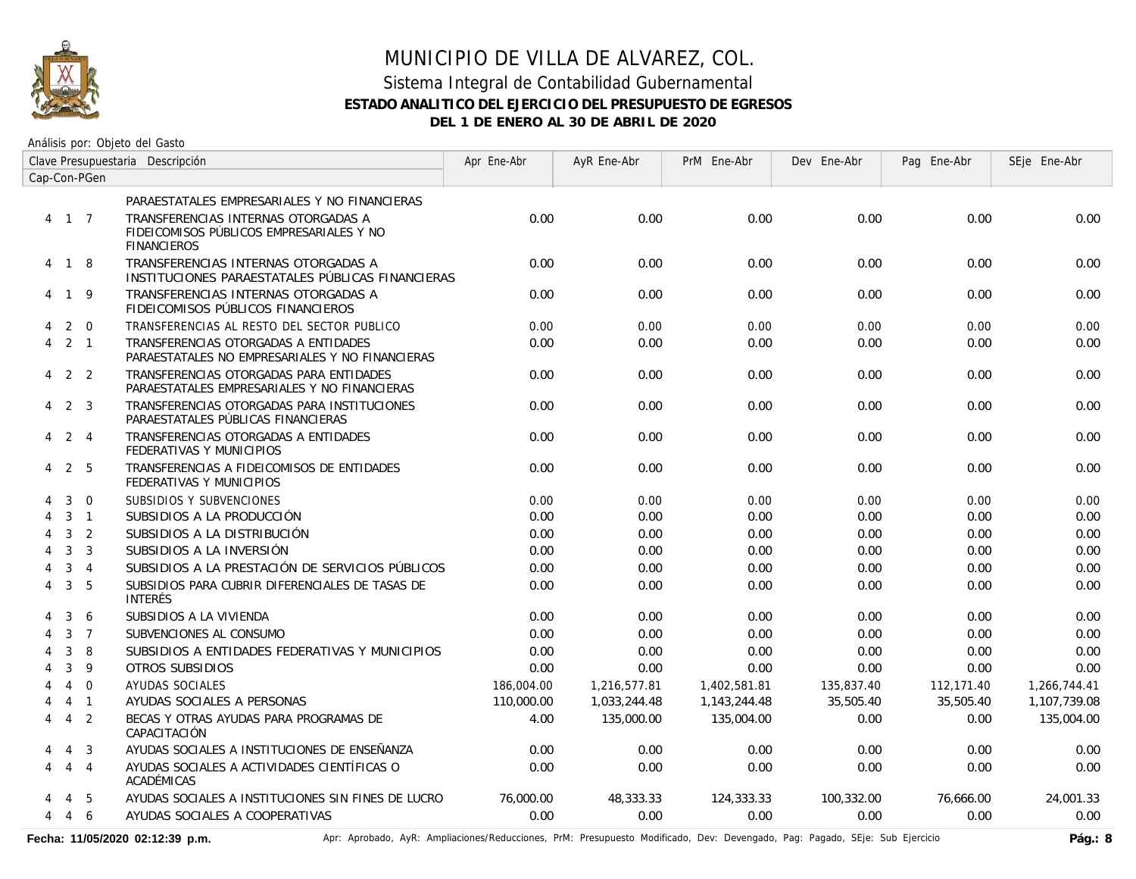

### MUNICIPIO DE VILLA DE ALVAREZ, COL. Sistema Integral de Contabilidad Gubernamental

#### **ESTADO ANALITICO DEL EJERCICIO DEL PRESUPUESTO DE EGRESOS**

**DEL 1 DE ENERO AL 30 DE ABRIL DE 2020**

Análisis por: Objeto del Gasto

|                             |                |                | Clave Presupuestaria Descripción                                                                      | Apr Ene-Abr | AyR Ene-Abr  | PrM Ene-Abr  | Dev Ene-Abr | Pag Ene-Abr | SEje Ene-Abr |
|-----------------------------|----------------|----------------|-------------------------------------------------------------------------------------------------------|-------------|--------------|--------------|-------------|-------------|--------------|
|                             |                | Cap-Con-PGen   |                                                                                                       |             |              |              |             |             |              |
|                             |                |                | PARAESTATALES EMPRESARIALES Y NO FINANCIERAS                                                          |             |              |              |             |             |              |
|                             | 4 1 7          |                | TRANSFERENCIAS INTERNAS OTORGADAS A<br>FIDEICOMISOS PÚBLICOS EMPRESARIALES Y NO<br><b>FINANCIEROS</b> | 0.00        | 0.00         | 0.00         | 0.00        | 0.00        | 0.00         |
|                             | 4 1 8          |                | TRANSFERENCIAS INTERNAS OTORGADAS A<br>INSTITUCIONES PARAESTATALES PÚBLICAS FINANCIERAS               | 0.00        | 0.00         | 0.00         | 0.00        | 0.00        | 0.00         |
|                             | 4 1 9          |                | TRANSFERENCIAS INTERNAS OTORGADAS A<br>FIDEICOMISOS PÚBLICOS FINANCIEROS                              | 0.00        | 0.00         | 0.00         | 0.00        | 0.00        | 0.00         |
| 4                           |                | $2 \quad 0$    | TRANSFERENCIAS AL RESTO DEL SECTOR PUBLICO                                                            | 0.00        | 0.00         | 0.00         | 0.00        | 0.00        | 0.00         |
| 4                           |                | $2 \quad 1$    | TRANSFERENCIAS OTORGADAS A ENTIDADES<br>PARAESTATALES NO EMPRESARIALES Y NO FINANCIERAS               | 0.00        | 0.00         | 0.00         | 0.00        | 0.00        | 0.00         |
|                             | $4$ 2 2        |                | TRANSFERENCIAS OTORGADAS PARA ENTIDADES<br>PARAESTATALES EMPRESARIALES Y NO FINANCIERAS               | 0.00        | 0.00         | 0.00         | 0.00        | 0.00        | 0.00         |
| 4                           |                | 2 3            | TRANSFERENCIAS OTORGADAS PARA INSTITUCIONES<br>PARAESTATALES PÚBLICAS FINANCIERAS                     | 0.00        | 0.00         | 0.00         | 0.00        | 0.00        | 0.00         |
|                             | 4 2 4          |                | TRANSFERENCIAS OTORGADAS A ENTIDADES<br>FEDERATIVAS Y MUNICIPIOS                                      | 0.00        | 0.00         | 0.00         | 0.00        | 0.00        | 0.00         |
| 4                           |                | 2 5            | TRANSFERENCIAS A FIDEICOMISOS DE ENTIDADES<br>FEDERATIVAS Y MUNICIPIOS                                | 0.00        | 0.00         | 0.00         | 0.00        | 0.00        | 0.00         |
| 4                           | 3              | $\mathbf 0$    | SUBSIDIOS Y SUBVENCIONES                                                                              | 0.00        | 0.00         | 0.00         | 0.00        | 0.00        | 0.00         |
| $\boldsymbol{\vartriangle}$ | 3              | $\overline{1}$ | SUBSIDIOS A LA PRODUCCIÓN                                                                             | 0.00        | 0.00         | 0.00         | 0.00        | 0.00        | 0.00         |
| 4                           | 3              | $\overline{2}$ | SUBSIDIOS A LA DISTRIBUCIÓN                                                                           | 0.00        | 0.00         | 0.00         | 0.00        | 0.00        | 0.00         |
| 4                           | $\mathbf{3}$   | $\overline{3}$ | SUBSIDIOS A LA INVERSIÓN                                                                              | 0.00        | 0.00         | 0.00         | 0.00        | 0.00        | 0.00         |
| 4                           | 3              | $\overline{4}$ | SUBSIDIOS A LA PRESTACIÓN DE SERVICIOS PÚBLICOS                                                       | 0.00        | 0.00         | 0.00         | 0.00        | 0.00        | 0.00         |
| 4                           | 3              | 5              | SUBSIDIOS PARA CUBRIR DIFERENCIALES DE TASAS DE<br><b>INTERÉS</b>                                     | 0.00        | 0.00         | 0.00         | 0.00        | 0.00        | 0.00         |
|                             | 3              | 6              | SUBSIDIOS A LA VIVIENDA                                                                               | 0.00        | 0.00         | 0.00         | 0.00        | 0.00        | 0.00         |
| 4                           | $\mathbf{3}$   | $\overline{7}$ | SUBVENCIONES AL CONSUMO                                                                               | 0.00        | 0.00         | 0.00         | 0.00        | 0.00        | 0.00         |
|                             | 3              | 8              | SUBSIDIOS A ENTIDADES FEDERATIVAS Y MUNICIPIOS                                                        | 0.00        | 0.00         | 0.00         | 0.00        | 0.00        | 0.00         |
|                             | 3              | 9              | OTROS SUBSIDIOS                                                                                       | 0.00        | 0.00         | 0.00         | 0.00        | 0.00        | 0.00         |
|                             | $\overline{4}$ | $\overline{0}$ | AYUDAS SOCIALES                                                                                       | 186,004.00  | 1,216,577.81 | 1,402,581.81 | 135,837.40  | 112,171.40  | 1,266,744.41 |
|                             |                | $4 \quad 1$    | AYUDAS SOCIALES A PERSONAS                                                                            | 110,000.00  | 1,033,244.48 | 1,143,244.48 | 35,505.40   | 35,505.40   | 1,107,739.08 |
| 4                           | 4              | $\overline{2}$ | BECAS Y OTRAS AYUDAS PARA PROGRAMAS DE<br>CAPACITACIÓN                                                | 4.00        | 135,000.00   | 135,004.00   | 0.00        | 0.00        | 135,004.00   |
|                             | $\overline{4}$ | $\overline{3}$ | AYUDAS SOCIALES A INSTITUCIONES DE ENSEÑANZA                                                          | 0.00        | 0.00         | 0.00         | 0.00        | 0.00        | 0.00         |
| 4                           | $\overline{4}$ | $\overline{4}$ | AYUDAS SOCIALES A ACTIVIDADES CIENTÍFICAS O<br>ACADÉMICAS                                             | 0.00        | 0.00         | 0.00         | 0.00        | 0.00        | 0.00         |
|                             | 4              | - 5            | AYUDAS SOCIALES A INSTITUCIONES SIN FINES DE LUCRO                                                    | 76,000.00   | 48,333,33    | 124,333.33   | 100.332.00  | 76.666.00   | 24,001.33    |
| 4                           | 4              | 6              | AYUDAS SOCIALES A COOPERATIVAS                                                                        | 0.00        | 0.00         | 0.00         | 0.00        | 0.00        | 0.00         |

Fecha: 11/05/2020 02:12:39 p.m. **Aprichationes/Reducciones, PrM: Presupuesto Modificado**, Dev: Devengado, Pag: Pagado, SEje: Sub Ejercicio Pág.: 8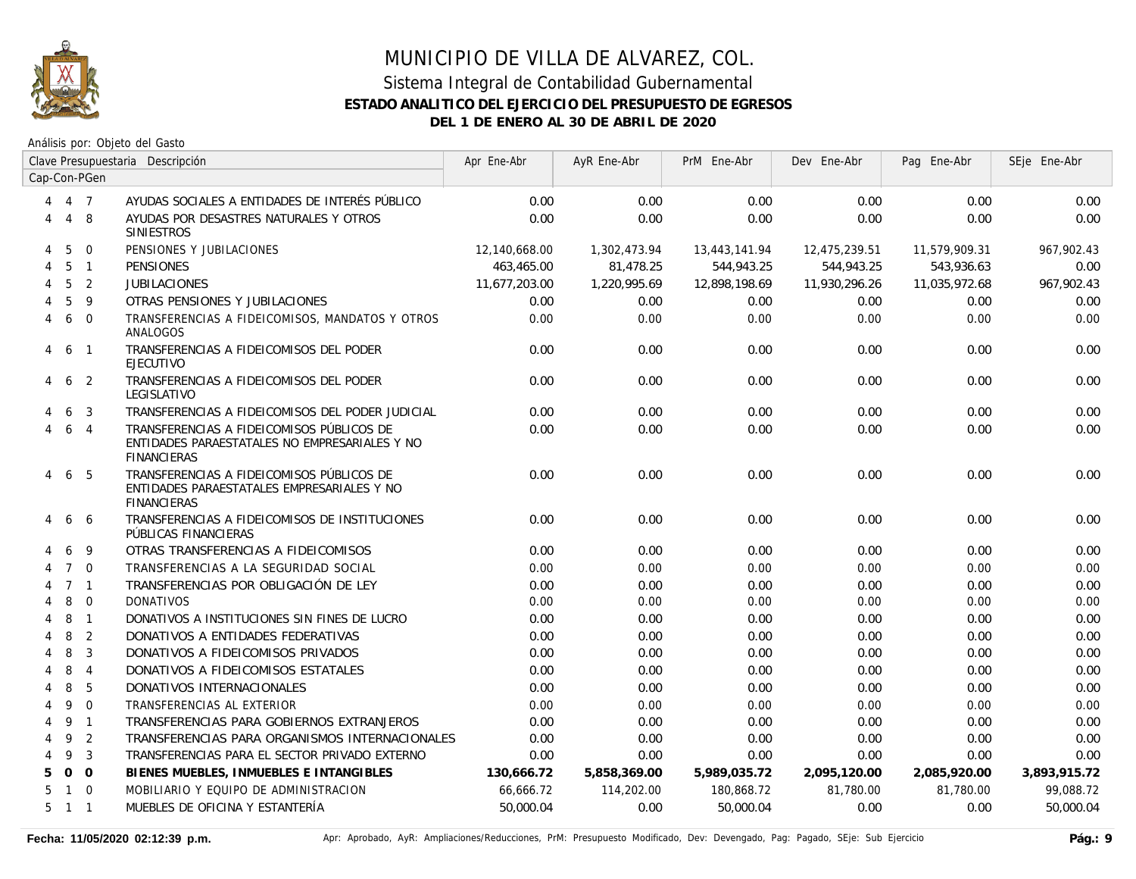

|   | Clave Presupuestaria Descripción |                |                                                                                                                  | Apr Ene-Abr   | AyR Ene-Abr  | PrM Ene-Abr   | Dev Ene-Abr   | Pag Ene-Abr   | SEje Ene-Abr |
|---|----------------------------------|----------------|------------------------------------------------------------------------------------------------------------------|---------------|--------------|---------------|---------------|---------------|--------------|
|   |                                  | Cap-Con-PGen   |                                                                                                                  |               |              |               |               |               |              |
| 4 | 4 7                              |                | AYUDAS SOCIALES A ENTIDADES DE INTERÉS PÚBLICO                                                                   | 0.00          | 0.00         | 0.00          | 0.00          | 0.00          | 0.00         |
| 4 | $\overline{4}$                   | -8             | AYUDAS POR DESASTRES NATURALES Y OTROS<br><b>SINIESTROS</b>                                                      | 0.00          | 0.00         | 0.00          | 0.00          | 0.00          | 0.00         |
| 4 | 5                                | $\Omega$       | PENSIONES Y JUBILACIONES                                                                                         | 12,140,668.00 | 1,302,473.94 | 13,443,141.94 | 12,475,239.51 | 11,579,909.31 | 967,902.43   |
| 4 | 5                                | $\overline{1}$ | <b>PENSIONES</b>                                                                                                 | 463,465.00    | 81,478.25    | 544,943.25    | 544,943.25    | 543,936.63    | 0.00         |
|   | 5                                | 2              | <b>JUBILACIONES</b>                                                                                              | 11,677,203.00 | 1,220,995.69 | 12,898,198.69 | 11,930,296.26 | 11,035,972.68 | 967,902.43   |
|   | 5                                | 9              | OTRAS PENSIONES Y JUBILACIONES                                                                                   | 0.00          | 0.00         | 0.00          | 0.00          | 0.00          | 0.00         |
| 4 | 6                                | $\Omega$       | TRANSFERENCIAS A FIDEICOMISOS, MANDATOS Y OTROS<br>ANALOGOS                                                      | 0.00          | 0.00         | 0.00          | 0.00          | 0.00          | 0.00         |
| 4 | 6                                | $\overline{1}$ | TRANSFERENCIAS A FIDEICOMISOS DEL PODER<br><b>EJECUTIVO</b>                                                      | 0.00          | 0.00         | 0.00          | 0.00          | 0.00          | 0.00         |
| 4 | 6                                | $\overline{2}$ | TRANSFERENCIAS A FIDEICOMISOS DEL PODER<br>LEGISLATIVO                                                           | 0.00          | 0.00         | 0.00          | 0.00          | 0.00          | 0.00         |
|   | 6                                | 3              | TRANSFERENCIAS A FIDEICOMISOS DEL PODER JUDICIAL                                                                 | 0.00          | 0.00         | 0.00          | 0.00          | 0.00          | 0.00         |
|   | 6                                | $\overline{4}$ | TRANSFERENCIAS A FIDEICOMISOS PÚBLICOS DE<br>ENTIDADES PARAESTATALES NO EMPRESARIALES Y NO<br><b>FINANCIERAS</b> | 0.00          | 0.00         | 0.00          | 0.00          | 0.00          | 0.00         |
| 4 | 6                                | -5             | TRANSFERENCIAS A FIDEICOMISOS PÚBLICOS DE<br>ENTIDADES PARAESTATALES EMPRESARIALES Y NO<br><b>FINANCIERAS</b>    | 0.00          | 0.00         | 0.00          | 0.00          | 0.00          | 0.00         |
| 4 | 6                                | -6             | TRANSFERENCIAS A FIDEICOMISOS DE INSTITUCIONES<br>PÚBLICAS FINANCIERAS                                           | 0.00          | 0.00         | 0.00          | 0.00          | 0.00          | 0.00         |
|   | 6                                | 9              | OTRAS TRANSFERENCIAS A FIDEICOMISOS                                                                              | 0.00          | 0.00         | 0.00          | 0.00          | 0.00          | 0.00         |
|   | $\overline{7}$                   | $\Omega$       | TRANSFERENCIAS A LA SEGURIDAD SOCIAL                                                                             | 0.00          | 0.00         | 0.00          | 0.00          | 0.00          | 0.00         |
|   |                                  | 7 <sub>1</sub> | TRANSFERENCIAS POR OBLIGACIÓN DE LEY                                                                             | 0.00          | 0.00         | 0.00          | 0.00          | 0.00          | 0.00         |
|   | 8                                | $\overline{0}$ | <b>DONATIVOS</b>                                                                                                 | 0.00          | 0.00         | 0.00          | 0.00          | 0.00          | 0.00         |
|   | 8                                | $\overline{1}$ | DONATIVOS A INSTITUCIONES SIN FINES DE LUCRO                                                                     | 0.00          | 0.00         | 0.00          | 0.00          | 0.00          | 0.00         |
| Δ | 8                                | 2              | DONATIVOS A ENTIDADES FEDERATIVAS                                                                                | 0.00          | 0.00         | 0.00          | 0.00          | 0.00          | 0.00         |
| 4 | 8                                | 3              | DONATIVOS A FIDEICOMISOS PRIVADOS                                                                                | 0.00          | 0.00         | 0.00          | 0.00          | 0.00          | 0.00         |
| 4 | 8                                | $\overline{4}$ | DONATIVOS A FIDEICOMISOS ESTATALES                                                                               | 0.00          | 0.00         | 0.00          | 0.00          | 0.00          | 0.00         |
| 4 | 8                                | 5              | DONATIVOS INTERNACIONALES                                                                                        | 0.00          | 0.00         | 0.00          | 0.00          | 0.00          | 0.00         |
| 4 | 9                                | $\overline{0}$ | TRANSFERENCIAS AL EXTERIOR                                                                                       | 0.00          | 0.00         | 0.00          | 0.00          | 0.00          | 0.00         |
| 4 | 9                                | $\overline{1}$ | TRANSFERENCIAS PARA GOBIERNOS EXTRANJEROS                                                                        | 0.00          | 0.00         | 0.00          | 0.00          | 0.00          | 0.00         |
| 4 | 9                                | 2              | TRANSFERENCIAS PARA ORGANISMOS INTERNACIONALES                                                                   | 0.00          | 0.00         | 0.00          | 0.00          | 0.00          | 0.00         |
| 4 | 9                                | 3              | TRANSFERENCIAS PARA EL SECTOR PRIVADO EXTERNO                                                                    | 0.00          | 0.00         | 0.00          | 0.00          | 0.00          | 0.00         |
| 5 | $\mathbf{O}$                     | $\overline{0}$ | BIENES MUEBLES, INMUEBLES E INTANGIBLES                                                                          | 130,666.72    | 5,858,369.00 | 5,989,035.72  | 2,095,120.00  | 2,085,920.00  | 3,893,915.72 |
| 5 | $\mathbf{1}$                     | $\Omega$       | MOBILIARIO Y EQUIPO DE ADMINISTRACION                                                                            | 66,666.72     | 114,202.00   | 180,868.72    | 81,780.00     | 81,780.00     | 99,088.72    |
| 5 | $1\quad1$                        |                | MUEBLES DE OFICINA Y ESTANTERÍA                                                                                  | 50,000.04     | 0.00         | 50,000.04     | 0.00          | 0.00          | 50,000.04    |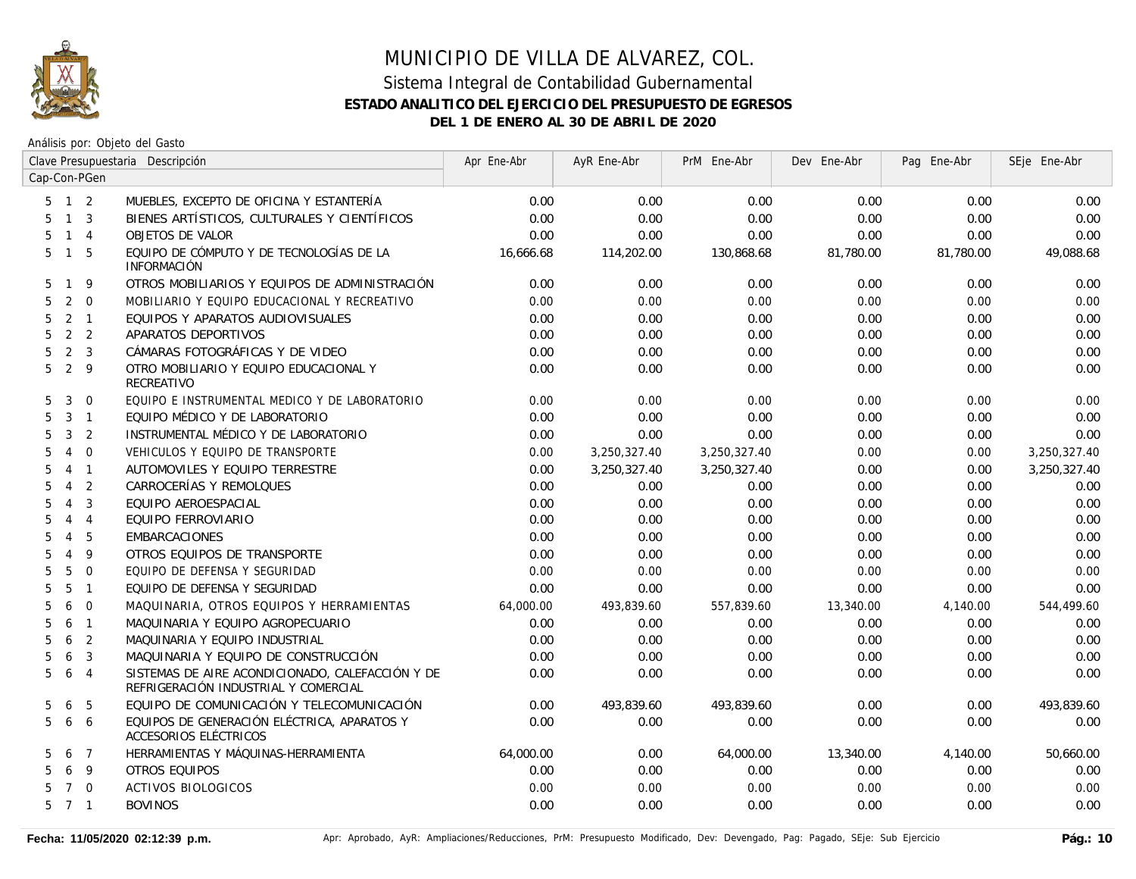

|    |                |                | Clave Presupuestaria Descripción                                                         | Apr Ene-Abr | AyR Ene-Abr  | PrM Ene-Abr  | Dev Ene-Abr | Pag Ene-Abr | SEje Ene-Abr |
|----|----------------|----------------|------------------------------------------------------------------------------------------|-------------|--------------|--------------|-------------|-------------|--------------|
|    |                | Cap-Con-PGen   |                                                                                          |             |              |              |             |             |              |
|    | $5$ 1 2        |                | MUEBLES, EXCEPTO DE OFICINA Y ESTANTERÍA                                                 | 0.00        | 0.00         | 0.00         | 0.00        | 0.00        | 0.00         |
| 5  | $1 \quad 3$    |                | BIENES ARTÍSTICOS, CULTURALES Y CIENTÍFICOS                                              | 0.00        | 0.00         | 0.00         | 0.00        | 0.00        | 0.00         |
| 5. | $1 \quad 4$    |                | OBJETOS DE VALOR                                                                         | 0.00        | 0.00         | 0.00         | 0.00        | 0.00        | 0.00         |
| 5  | $\overline{1}$ | - 5            | EQUIPO DE CÓMPUTO Y DE TECNOLOGÍAS DE LA<br><b>INFORMACIÓN</b>                           | 16,666.68   | 114,202.00   | 130,868.68   | 81,780.00   | 81,780.00   | 49,088.68    |
| 5  | $\mathbf{1}$   | 9              | OTROS MOBILIARIOS Y EQUIPOS DE ADMINISTRACIÓN                                            | 0.00        | 0.00         | 0.00         | 0.00        | 0.00        | 0.00         |
| 5  | 2              | $\overline{0}$ | MOBILIARIO Y EQUIPO EDUCACIONAL Y RECREATIVO                                             | 0.00        | 0.00         | 0.00         | 0.00        | 0.00        | 0.00         |
| 5  | 2 <sub>1</sub> |                | EQUIPOS Y APARATOS AUDIOVISUALES                                                         | 0.00        | 0.00         | 0.00         | 0.00        | 0.00        | 0.00         |
| 5  | 2 <sub>2</sub> |                | APARATOS DEPORTIVOS                                                                      | 0.00        | 0.00         | 0.00         | 0.00        | 0.00        | 0.00         |
| 5  | 2 <sup>3</sup> |                | CÁMARAS FOTOGRÁFICAS Y DE VIDEO                                                          | 0.00        | 0.00         | 0.00         | 0.00        | 0.00        | 0.00         |
| 5  | 2 <sup>9</sup> |                | OTRO MOBILIARIO Y EQUIPO EDUCACIONAL Y<br>RECREATIVO                                     | 0.00        | 0.00         | 0.00         | 0.00        | 0.00        | 0.00         |
| 5  | 3              | $\overline{0}$ | EQUIPO E INSTRUMENTAL MEDICO Y DE LABORATORIO                                            | 0.00        | 0.00         | 0.00         | 0.00        | 0.00        | 0.00         |
| 5  | $3 \quad 1$    |                | EQUIPO MÉDICO Y DE LABORATORIO                                                           | 0.00        | 0.00         | 0.00         | 0.00        | 0.00        | 0.00         |
| 5  | $\mathbf{3}$   | $\overline{2}$ | INSTRUMENTAL MÉDICO Y DE LABORATORIO                                                     | 0.00        | 0.00         | 0.00         | 0.00        | 0.00        | 0.00         |
| 5  | $\overline{4}$ | $\overline{0}$ | VEHICULOS Y EQUIPO DE TRANSPORTE                                                         | 0.00        | 3,250,327.40 | 3,250,327.40 | 0.00        | 0.00        | 3,250,327.40 |
| 5  | $\overline{4}$ | $\overline{1}$ | AUTOMOVILES Y EQUIPO TERRESTRE                                                           | 0.00        | 3,250,327.40 | 3,250,327.40 | 0.00        | 0.00        | 3,250,327.40 |
| 5  | $\overline{4}$ | 2              | CARROCERÍAS Y REMOLQUES                                                                  | 0.00        | 0.00         | 0.00         | 0.00        | 0.00        | 0.00         |
| 5  | $\overline{4}$ | 3              | EQUIPO AEROESPACIAL                                                                      | 0.00        | 0.00         | 0.00         | 0.00        | 0.00        | 0.00         |
| 5  | $\overline{4}$ | $\overline{4}$ | EQUIPO FERROVIARIO                                                                       | 0.00        | 0.00         | 0.00         | 0.00        | 0.00        | 0.00         |
| 5  | $\overline{4}$ | 5              | <b>EMBARCACIONES</b>                                                                     | 0.00        | 0.00         | 0.00         | 0.00        | 0.00        | 0.00         |
| 5  | $\overline{4}$ | 9              | OTROS EQUIPOS DE TRANSPORTE                                                              | 0.00        | 0.00         | 0.00         | 0.00        | 0.00        | 0.00         |
| 5  | 5              | $\Omega$       | EQUIPO DE DEFENSA Y SEGURIDAD                                                            | 0.00        | 0.00         | 0.00         | 0.00        | 0.00        | 0.00         |
| 5  | 5              | $\overline{1}$ | EQUIPO DE DEFENSA Y SEGURIDAD                                                            | 0.00        | 0.00         | 0.00         | 0.00        | 0.00        | 0.00         |
| 5  | 6              | $\overline{0}$ | MAQUINARIA, OTROS EQUIPOS Y HERRAMIENTAS                                                 | 64,000.00   | 493,839.60   | 557,839.60   | 13,340.00   | 4,140.00    | 544,499.60   |
| 5  | 6              | $\overline{1}$ | MAQUINARIA Y EQUIPO AGROPECUARIO                                                         | 0.00        | 0.00         | 0.00         | 0.00        | 0.00        | 0.00         |
| 5  | 6              | $\overline{2}$ | MAQUINARIA Y EQUIPO INDUSTRIAL                                                           | 0.00        | 0.00         | 0.00         | 0.00        | 0.00        | 0.00         |
| 5  | 6              | 3              | MAQUINARIA Y EQUIPO DE CONSTRUCCIÓN                                                      | 0.00        | 0.00         | 0.00         | 0.00        | 0.00        | 0.00         |
| 5  | 6              | $\overline{4}$ | SISTEMAS DE AIRE ACONDICIONADO, CALEFACCIÓN Y DE<br>REFRIGERACIÓN INDUSTRIAL Y COMERCIAL | 0.00        | 0.00         | 0.00         | 0.00        | 0.00        | 0.00         |
| 5  | 6              | 5              | EQUIPO DE COMUNICACIÓN Y TELECOMUNICACIÓN                                                | 0.00        | 493,839.60   | 493,839.60   | 0.00        | 0.00        | 493,839.60   |
| 5  | 6              | 6              | EQUIPOS DE GENERACIÓN ELÉCTRICA, APARATOS Y<br>ACCESORIOS ELÉCTRICOS                     | 0.00        | 0.00         | 0.00         | 0.00        | 0.00        | 0.00         |
| 5. | 6              | $\overline{7}$ | HERRAMIENTAS Y MÁQUINAS-HERRAMIENTA                                                      | 64,000.00   | 0.00         | 64,000.00    | 13,340.00   | 4,140.00    | 50,660.00    |
| 5. | 6              | -9             | OTROS EQUIPOS                                                                            | 0.00        | 0.00         | 0.00         | 0.00        | 0.00        | 0.00         |
| 5. | $\overline{7}$ | $\overline{0}$ | <b>ACTIVOS BIOLOGICOS</b>                                                                | 0.00        | 0.00         | 0.00         | 0.00        | 0.00        | 0.00         |
|    | 5 7 1          |                | <b>BOVINOS</b>                                                                           | 0.00        | 0.00         | 0.00         | 0.00        | 0.00        | 0.00         |
|    |                |                |                                                                                          |             |              |              |             |             |              |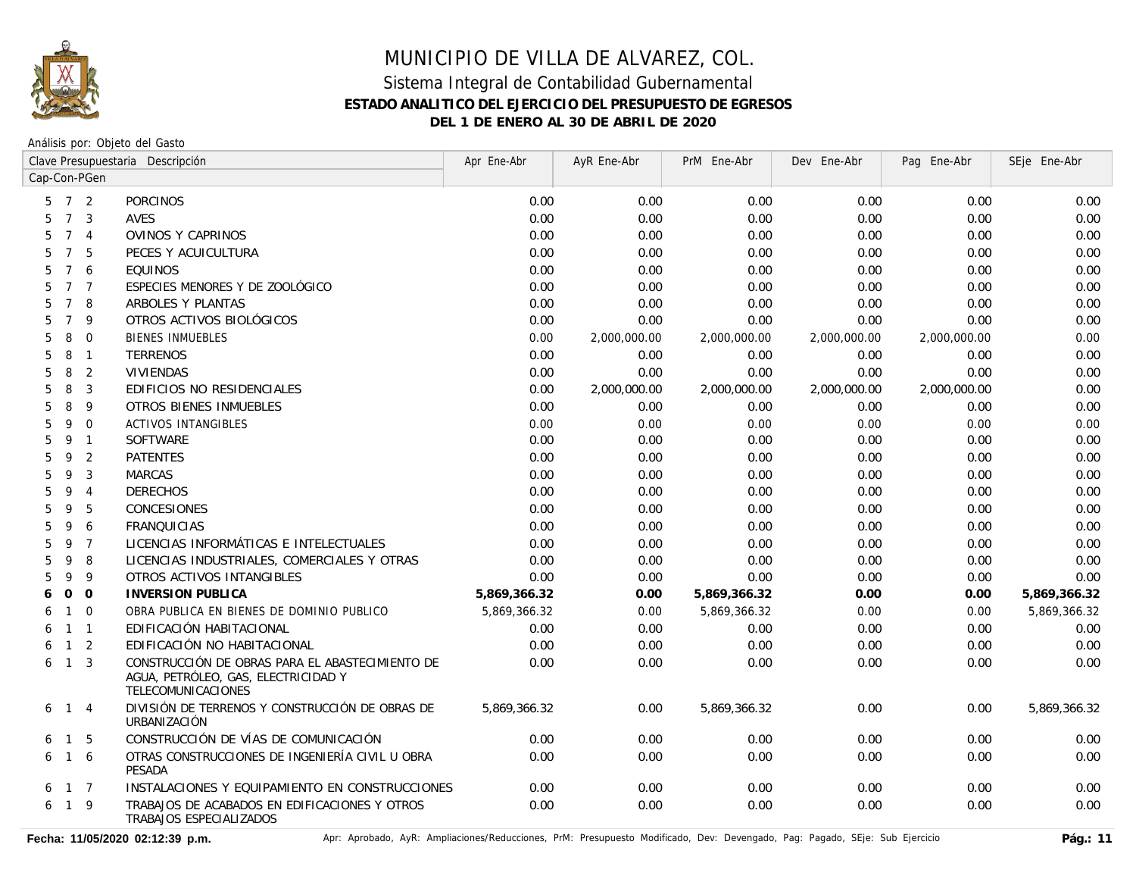

Análisis por: Objeto del Gasto

|                     |                | Clave Presupuestaria Descripción                                                                             | Apr Ene-Abr  | AyR Ene-Abr  | PrM Ene-Abr  | Dev Ene-Abr  | Pag Ene-Abr  | SEje Ene-Abr |
|---------------------|----------------|--------------------------------------------------------------------------------------------------------------|--------------|--------------|--------------|--------------|--------------|--------------|
| Cap-Con-PGen        |                |                                                                                                              |              |              |              |              |              |              |
| 5                   | 7 <sup>2</sup> | <b>PORCINOS</b>                                                                                              | 0.00         | 0.00         | 0.00         | 0.00         | 0.00         | 0.00         |
| $\overline{7}$<br>5 | 3              | AVES                                                                                                         | 0.00         | 0.00         | 0.00         | 0.00         | 0.00         | 0.00         |
| 5<br>$\overline{7}$ | $\overline{4}$ | OVINOS Y CAPRINOS                                                                                            | 0.00         | 0.00         | 0.00         | 0.00         | 0.00         | 0.00         |
| $\overline{7}$<br>5 | 5              | PECES Y ACUICULTURA                                                                                          | 0.00         | 0.00         | 0.00         | 0.00         | 0.00         | 0.00         |
| 5<br>$\overline{7}$ | 6              | <b>EQUINOS</b>                                                                                               | 0.00         | 0.00         | 0.00         | 0.00         | 0.00         | 0.00         |
| 5<br>$\overline{7}$ | $\overline{7}$ | ESPECIES MENORES Y DE ZOOLÓGICO                                                                              | 0.00         | 0.00         | 0.00         | 0.00         | 0.00         | 0.00         |
| 5<br>$\overline{7}$ | 8              | ARBOLES Y PLANTAS                                                                                            | 0.00         | 0.00         | 0.00         | 0.00         | 0.00         | 0.00         |
| $\overline{7}$<br>5 | 9              | OTROS ACTIVOS BIOLÓGICOS                                                                                     | 0.00         | 0.00         | 0.00         | 0.00         | 0.00         | 0.00         |
| 5<br>8              | $\mathbf 0$    | <b>BIENES INMUEBLES</b>                                                                                      | 0.00         | 2,000,000.00 | 2,000,000.00 | 2,000,000.00 | 2,000,000.00 | 0.00         |
| 5<br>8              | $\overline{1}$ | <b>TERRENOS</b>                                                                                              | 0.00         | 0.00         | 0.00         | 0.00         | 0.00         | 0.00         |
| 5<br>8              | 2              | <b>VIVIENDAS</b>                                                                                             | 0.00         | 0.00         | 0.00         | 0.00         | 0.00         | 0.00         |
| 8<br>5              | 3              | EDIFICIOS NO RESIDENCIALES                                                                                   | 0.00         | 2,000,000.00 | 2,000,000.00 | 2,000,000.00 | 2,000,000.00 | 0.00         |
| 5<br>8              | 9              | <b>OTROS BIENES INMUEBLES</b>                                                                                | 0.00         | 0.00         | 0.00         | 0.00         | 0.00         | 0.00         |
| 5<br>9              | $\Omega$       | <b>ACTIVOS INTANGIBLES</b>                                                                                   | 0.00         | 0.00         | 0.00         | 0.00         | 0.00         | 0.00         |
| 5<br>9              | $\overline{1}$ | SOFTWARE                                                                                                     | 0.00         | 0.00         | 0.00         | 0.00         | 0.00         | 0.00         |
| 5<br>9              | 2              | <b>PATENTES</b>                                                                                              | 0.00         | 0.00         | 0.00         | 0.00         | 0.00         | 0.00         |
| 5<br>9              | 3              | <b>MARCAS</b>                                                                                                | 0.00         | 0.00         | 0.00         | 0.00         | 0.00         | 0.00         |
| 5<br>9              | $\overline{4}$ | <b>DERECHOS</b>                                                                                              | 0.00         | 0.00         | 0.00         | 0.00         | 0.00         | 0.00         |
| 9<br>5              | 5              | CONCESIONES                                                                                                  | 0.00         | 0.00         | 0.00         | 0.00         | 0.00         | 0.00         |
| 5<br>9              | 6              | <b>FRANQUICIAS</b>                                                                                           | 0.00         | 0.00         | 0.00         | 0.00         | 0.00         | 0.00         |
| 5<br>9              | $\overline{7}$ | LICENCIAS INFORMÁTICAS E INTELECTUALES                                                                       | 0.00         | 0.00         | 0.00         | 0.00         | 0.00         | 0.00         |
| 5<br>9              | 8              | LICENCIAS INDUSTRIALES, COMERCIALES Y OTRAS                                                                  | 0.00         | 0.00         | 0.00         | 0.00         | 0.00         | 0.00         |
| 5<br>9              | 9              | OTROS ACTIVOS INTANGIBLES                                                                                    | 0.00         | 0.00         | 0.00         | 0.00         | 0.00         | 0.00         |
| 0<br>6              | $\overline{O}$ | <b>INVERSION PUBLICA</b>                                                                                     | 5,869,366.32 | 0.00         | 5,869,366.32 | 0.00         | 0.00         | 5,869,366.32 |
| $\mathbf{1}$<br>6   | $\mathbf{0}$   | OBRA PUBLICA EN BIENES DE DOMINIO PUBLICO                                                                    | 5,869,366.32 | 0.00         | 5,869,366.32 | 0.00         | 0.00         | 5,869,366.32 |
| $\mathbf{1}$<br>6   | $\overline{1}$ | EDIFICACIÓN HABITACIONAL                                                                                     | 0.00         | 0.00         | 0.00         | 0.00         | 0.00         | 0.00         |
| $\mathbf{1}$<br>6   | 2              | EDIFICACIÓN NO HABITACIONAL                                                                                  | 0.00         | 0.00         | 0.00         | 0.00         | 0.00         | 0.00         |
| $\mathbf{1}$<br>6   | $\overline{3}$ | CONSTRUCCIÓN DE OBRAS PARA EL ABASTECIMIENTO DE<br>AGUA, PETRÓLEO, GAS, ELECTRICIDAD Y<br>TELECOMUNICACIONES | 0.00         | 0.00         | 0.00         | 0.00         | 0.00         | 0.00         |
| 6<br>$\mathbf{1}$   | $\overline{4}$ | DIVISIÓN DE TERRENOS Y CONSTRUCCIÓN DE OBRAS DE<br><b>URBANIZACIÓN</b>                                       | 5,869,366.32 | 0.00         | 5,869,366.32 | 0.00         | 0.00         | 5,869,366.32 |
| $\overline{1}$<br>6 | -5             | CONSTRUCCIÓN DE VÍAS DE COMUNICACIÓN                                                                         | 0.00         | 0.00         | 0.00         | 0.00         | 0.00         | 0.00         |
| $\overline{1}$<br>6 | 6              | OTRAS CONSTRUCCIONES DE INGENIERÍA CIVIL U OBRA<br><b>PESADA</b>                                             | 0.00         | 0.00         | 0.00         | 0.00         | 0.00         | 0.00         |
| 6                   | $1 \quad 7$    | INSTALACIONES Y EQUIPAMIENTO EN CONSTRUCCIONES                                                               | 0.00         | 0.00         | 0.00         | 0.00         | 0.00         | 0.00         |
| 6<br>$\overline{1}$ | 9              | TRABAJOS DE ACABADOS EN EDIFICACIONES Y OTROS<br>TRABAJOS ESPECIALIZADOS                                     | 0.00         | 0.00         | 0.00         | 0.00         | 0.00         | 0.00         |

Fecha: 11/05/2020 02:12:39 p.m. **Aprical Apricationes/Reducciones, PrM: Presupuesto Modificado**, Dev: Devengado, Pag: Pagado, SEje: Sub Ejercicio Pág.: 11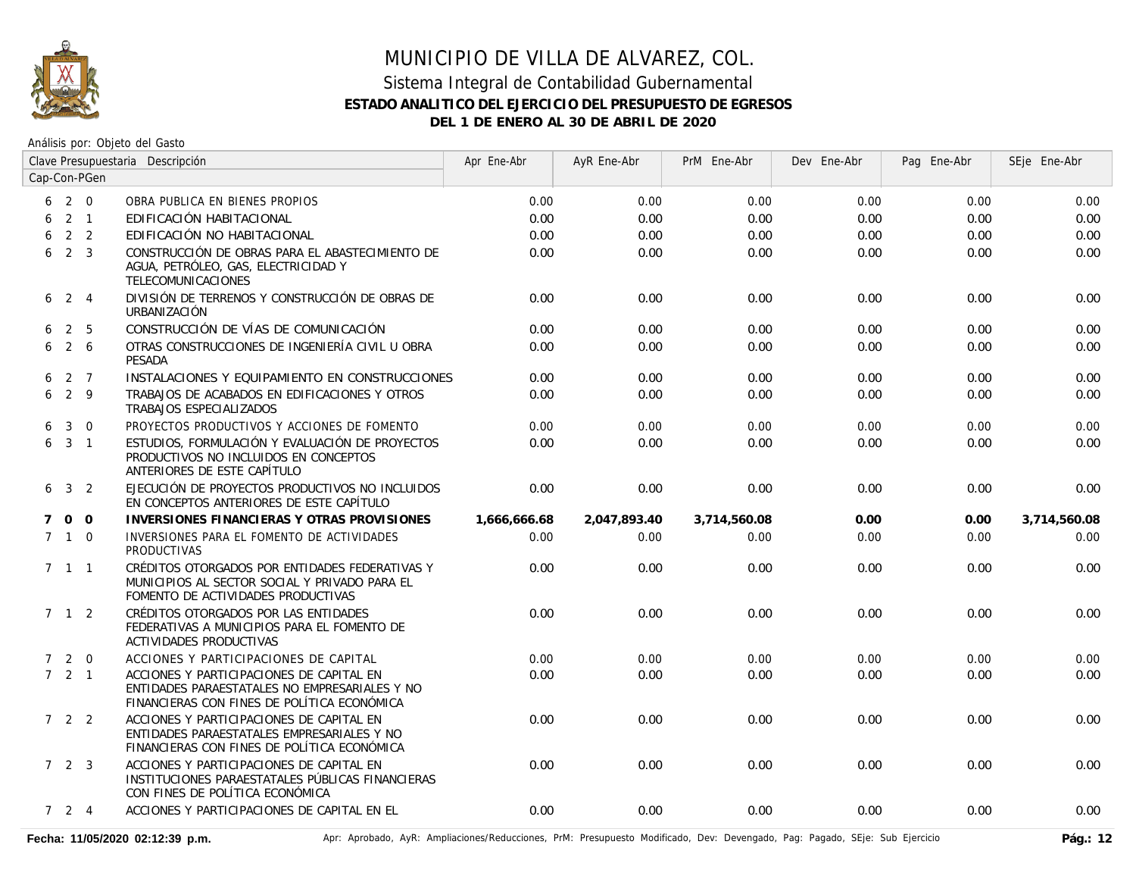

#### Sistema Integral de Contabilidad Gubernamental **ESTADO ANALITICO DEL EJERCICIO DEL PRESUPUESTO DE EGRESOS DEL 1 DE ENERO AL 30 DE ABRIL DE 2020**

Análisis por: Objeto del Gasto

|             |                     | Clave Presupuestaria Descripción |                                                                                                                                          | Apr Ene-Abr  | AyR Ene-Abr  | PrM Ene-Abr  | Dev Ene-Abr | Pag Ene-Abr | SEje Ene-Abr |
|-------------|---------------------|----------------------------------|------------------------------------------------------------------------------------------------------------------------------------------|--------------|--------------|--------------|-------------|-------------|--------------|
|             |                     | Cap-Con-PGen                     |                                                                                                                                          |              |              |              |             |             |              |
|             | $6\quad 2\quad 0$   |                                  | OBRA PUBLICA EN BIENES PROPIOS                                                                                                           | 0.00         | 0.00         | 0.00         | 0.00        | 0.00        | 0.00         |
| 6           |                     | $2 \quad 1$                      | EDIFICACIÓN HABITACIONAL                                                                                                                 | 0.00         | 0.00         | 0.00         | 0.00        | 0.00        | 0.00         |
| 6           |                     | 2 <sub>2</sub>                   | EDIFICACIÓN NO HABITACIONAL                                                                                                              | 0.00         | 0.00         | 0.00         | 0.00        | 0.00        | 0.00         |
| 6           |                     | $2 \quad 3$                      | CONSTRUCCIÓN DE OBRAS PARA EL ABASTECIMIENTO DE<br>AGUA, PETRÓLEO, GAS, ELECTRICIDAD Y<br>TELECOMUNICACIONES                             | 0.00         | 0.00         | 0.00         | 0.00        | 0.00        | 0.00         |
|             | $6 \t2 \t4$         |                                  | DIVISIÓN DE TERRENOS Y CONSTRUCCIÓN DE OBRAS DE<br>URBANIZACIÓN                                                                          | 0.00         | 0.00         | 0.00         | 0.00        | 0.00        | 0.00         |
| 6           |                     | 2 5                              | CONSTRUCCIÓN DE VÍAS DE COMUNICACIÓN                                                                                                     | 0.00         | 0.00         | 0.00         | 0.00        | 0.00        | 0.00         |
| 6           |                     | $2\overline{6}$                  | OTRAS CONSTRUCCIONES DE INGENIERÍA CIVIL U OBRA<br>PESADA                                                                                | 0.00         | 0.00         | 0.00         | 0.00        | 0.00        | 0.00         |
| 6           |                     | 2 7                              | INSTALACIONES Y EQUIPAMIENTO EN CONSTRUCCIONES                                                                                           | 0.00         | 0.00         | 0.00         | 0.00        | 0.00        | 0.00         |
| 6           | 2 9                 |                                  | TRABAJOS DE ACABADOS EN EDIFICACIONES Y OTROS<br>TRABAJOS ESPECIALIZADOS                                                                 | 0.00         | 0.00         | 0.00         | 0.00        | 0.00        | 0.00         |
| 6           | 3 <sup>1</sup>      | $\overline{0}$                   | PROYECTOS PRODUCTIVOS Y ACCIONES DE FOMENTO                                                                                              | 0.00         | 0.00         | 0.00         | 0.00        | 0.00        | 0.00         |
|             | 631                 |                                  | ESTUDIOS, FORMULACIÓN Y EVALUACIÓN DE PROYECTOS<br>PRODUCTIVOS NO INCLUIDOS EN CONCEPTOS<br>ANTERIORES DE ESTE CAPÍTULO                  | 0.00         | 0.00         | 0.00         | 0.00        | 0.00        | 0.00         |
|             | $6 \t3 \t2$         |                                  | EJECUCIÓN DE PROYECTOS PRODUCTIVOS NO INCLUIDOS<br>EN CONCEPTOS ANTERIORES DE ESTE CAPÍTULO                                              | 0.00         | 0.00         | 0.00         | 0.00        | 0.00        | 0.00         |
| $7^{\circ}$ |                     | $0\quad 0$                       | INVERSIONES FINANCIERAS Y OTRAS PROVISIONES                                                                                              | 1,666,666.68 | 2,047,893.40 | 3,714,560.08 | 0.00        | 0.00        | 3,714,560.08 |
|             | $7\quad1\quad0$     |                                  | INVERSIONES PARA EL FOMENTO DE ACTIVIDADES<br><b>PRODUCTIVAS</b>                                                                         | 0.00         | 0.00         | 0.00         | 0.00        | 0.00        | 0.00         |
|             | $7$ 1 1             |                                  | CRÉDITOS OTORGADOS POR ENTIDADES FEDERATIVAS Y<br>MUNICIPIOS AL SECTOR SOCIAL Y PRIVADO PARA EL<br>FOMENTO DE ACTIVIDADES PRODUCTIVAS    | 0.00         | 0.00         | 0.00         | 0.00        | 0.00        | 0.00         |
|             | $7 \quad 1 \quad 2$ |                                  | CRÉDITOS OTORGADOS POR LAS ENTIDADES<br>FEDERATIVAS A MUNICIPIOS PARA EL FOMENTO DE<br><b>ACTIVIDADES PRODUCTIVAS</b>                    | 0.00         | 0.00         | 0.00         | 0.00        | 0.00        | 0.00         |
|             | $7 2 0$             |                                  | ACCIONES Y PARTICIPACIONES DE CAPITAL                                                                                                    | 0.00         | 0.00         | 0.00         | 0.00        | 0.00        | 0.00         |
|             | $7 \quad 2 \quad 1$ |                                  | ACCIONES Y PARTICIPACIONES DE CAPITAL EN<br>ENTIDADES PARAESTATALES NO EMPRESARIALES Y NO<br>FINANCIERAS CON FINES DE POLÍTICA ECONÓMICA | 0.00         | 0.00         | 0.00         | 0.00        | 0.00        | 0.00         |
|             | $722$               |                                  | ACCIONES Y PARTICIPACIONES DE CAPITAL EN<br>ENTIDADES PARAESTATALES EMPRESARIALES Y NO<br>FINANCIERAS CON FINES DE POLÍTICA ECONÓMICA    | 0.00         | 0.00         | 0.00         | 0.00        | 0.00        | 0.00         |
|             | $7\quad 2\quad 3$   |                                  | ACCIONES Y PARTICIPACIONES DE CAPITAL EN<br>INSTITUCIONES PARAESTATALES PÚBLICAS FINANCIERAS<br>CON FINES DE POLÍTICA ECONÓMICA          | 0.00         | 0.00         | 0.00         | 0.00        | 0.00        | 0.00         |
|             | $7 \quad 2 \quad 4$ |                                  | ACCIONES Y PARTICIPACIONES DE CAPITAL EN EL                                                                                              | 0.00         | 0.00         | 0.00         | 0.00        | 0.00        | 0.00         |

Fecha: 11/05/2020 02:12:39 p.m. **Aprical Aprical Agrical AyR: Ampliaciones/Reducciones, PrM: Presupuesto Modificado, Dev: Devengado, Pag: Pagado, SEje: Sub Ejercicio Pág.: 12**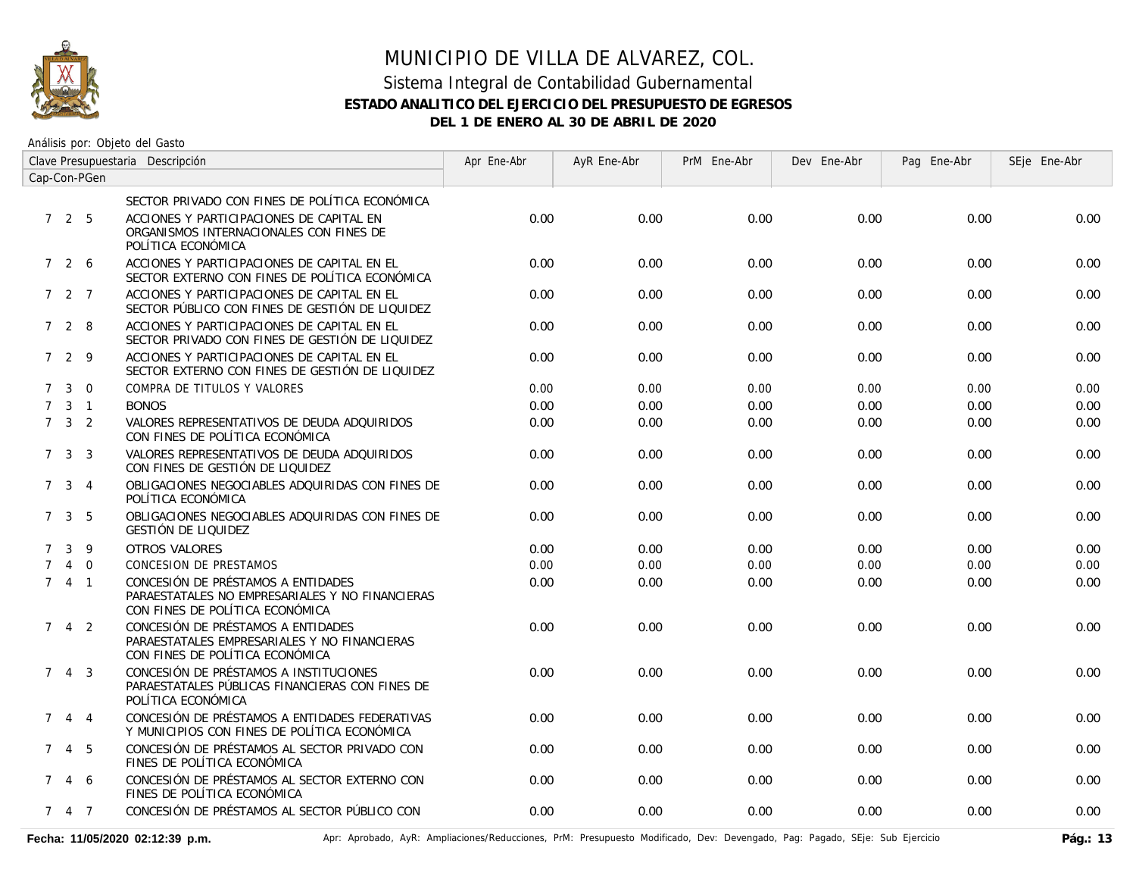

#### Sistema Integral de Contabilidad Gubernamental **ESTADO ANALITICO DEL EJERCICIO DEL PRESUPUESTO DE EGRESOS DEL 1 DE ENERO AL 30 DE ABRIL DE 2020**

Análisis por: Objeto del Gasto

| Clave Presupuestaria Descripción |                     |                |                                                                                                                          | Apr Ene-Abr | AyR Ene-Abr | PrM Ene-Abr | Dev Ene-Abr | Pag Ene-Abr | SEje Ene-Abr |
|----------------------------------|---------------------|----------------|--------------------------------------------------------------------------------------------------------------------------|-------------|-------------|-------------|-------------|-------------|--------------|
| Cap-Con-PGen                     |                     |                |                                                                                                                          |             |             |             |             |             |              |
|                                  |                     |                | SECTOR PRIVADO CON FINES DE POLÍTICA ECONÓMICA                                                                           |             |             |             |             |             |              |
|                                  | 725                 |                | ACCIONES Y PARTICIPACIONES DE CAPITAL EN<br>ORGANISMOS INTERNACIONALES CON FINES DE<br>POLÍTICA ECONÓMICA                | 0.00        | 0.00        | 0.00        | 0.00        | 0.00        | 0.00         |
|                                  | 726                 |                | ACCIONES Y PARTICIPACIONES DE CAPITAL EN EL<br>SECTOR EXTERNO CON FINES DE POLÍTICA ECONÓMICA                            | 0.00        | 0.00        | 0.00        | 0.00        | 0.00        | 0.00         |
|                                  | 7 2 7               |                | ACCIONES Y PARTICIPACIONES DE CAPITAL EN EL<br>SECTOR PÚBLICO CON FINES DE GESTIÓN DE LIQUIDEZ                           | 0.00        | 0.00        | 0.00        | 0.00        | 0.00        | 0.00         |
|                                  | 728                 |                | ACCIONES Y PARTICIPACIONES DE CAPITAL EN EL<br>SECTOR PRIVADO CON FINES DE GESTIÓN DE LIQUIDEZ                           | 0.00        | 0.00        | 0.00        | 0.00        | 0.00        | 0.00         |
|                                  | 729                 |                | ACCIONES Y PARTICIPACIONES DE CAPITAL EN EL<br>SECTOR EXTERNO CON FINES DE GESTIÓN DE LIQUIDEZ                           | 0.00        | 0.00        | 0.00        | 0.00        | 0.00        | 0.00         |
| $7^{\circ}$                      | 3                   | $\Omega$       | COMPRA DE TITULOS Y VALORES                                                                                              | 0.00        | 0.00        | 0.00        | 0.00        | 0.00        | 0.00         |
| $7^{\circ}$                      |                     | $3 \quad 1$    | <b>BONOS</b>                                                                                                             | 0.00        | 0.00        | 0.00        | 0.00        | 0.00        | 0.00         |
|                                  | $7 \quad 3 \quad 2$ |                | VALORES REPRESENTATIVOS DE DEUDA ADQUIRIDOS<br>CON FINES DE POLÍTICA ECONÓMICA                                           | 0.00        | 0.00        | 0.00        | 0.00        | 0.00        | 0.00         |
|                                  | 7 <sup>3</sup>      | 3              | VALORES REPRESENTATIVOS DE DEUDA ADQUIRIDOS<br>CON FINES DE GESTIÓN DE LIQUIDEZ                                          | 0.00        | 0.00        | 0.00        | 0.00        | 0.00        | 0.00         |
|                                  | $\mathbf{3}$<br>7   | $\overline{4}$ | OBLIGACIONES NEGOCIABLES ADQUIRIDAS CON FINES DE<br>POLÍTICA ECONÓMICA                                                   | 0.00        | 0.00        | 0.00        | 0.00        | 0.00        | 0.00         |
|                                  | $7 \quad 3 \quad 5$ |                | OBLIGACIONES NEGOCIABLES ADQUIRIDAS CON FINES DE<br>GESTIÓN DE LIQUIDEZ                                                  | 0.00        | 0.00        | 0.00        | 0.00        | 0.00        | 0.00         |
| $7^{\circ}$                      | $\mathbf{3}$        | 9              | <b>OTROS VALORES</b>                                                                                                     | 0.00        | 0.00        | 0.00        | 0.00        | 0.00        | 0.00         |
| $\mathcal{I}$                    |                     | 4 0            | <b>CONCESION DE PRESTAMOS</b>                                                                                            | 0.00        | 0.00        | 0.00        | 0.00        | 0.00        | 0.00         |
|                                  | 741                 |                | CONCESIÓN DE PRÉSTAMOS A ENTIDADES<br>PARAESTATALES NO EMPRESARIALES Y NO FINANCIERAS<br>CON FINES DE POLÍTICA ECONÓMICA | 0.00        | 0.00        | 0.00        | 0.00        | 0.00        | 0.00         |
| $7^{\circ}$                      |                     | 4 2            | CONCESIÓN DE PRÉSTAMOS A ENTIDADES<br>PARAESTATALES EMPRESARIALES Y NO FINANCIERAS<br>CON FINES DE POLÍTICA ECONÓMICA    | 0.00        | 0.00        | 0.00        | 0.00        | 0.00        | 0.00         |
|                                  | 743                 |                | CONCESIÓN DE PRÉSTAMOS A INSTITUCIONES<br>PARAESTATALES PÚBLICAS FINANCIERAS CON FINES DE<br>POLÍTICA ECONÓMICA          | 0.00        | 0.00        | 0.00        | 0.00        | 0.00        | 0.00         |
| 7                                |                     | $4 \quad 4$    | CONCESIÓN DE PRÉSTAMOS A ENTIDADES FEDERATIVAS<br>Y MUNICIPIOS CON FINES DE POLÍTICA ECONÓMICA                           | 0.00        | 0.00        | 0.00        | 0.00        | 0.00        | 0.00         |
|                                  | 7 4 5               |                | CONCESIÓN DE PRÉSTAMOS AL SECTOR PRIVADO CON<br>FINES DE POLÍTICA ECONÓMICA                                              | 0.00        | 0.00        | 0.00        | 0.00        | 0.00        | 0.00         |
| 7 <sup>7</sup>                   |                     | 4 6            | CONCESIÓN DE PRÉSTAMOS AL SECTOR EXTERNO CON<br>FINES DE POLÍTICA ECONÓMICA                                              | 0.00        | 0.00        | 0.00        | 0.00        | 0.00        | 0.00         |
|                                  | 7 4 7               |                | CONCESIÓN DE PRÉSTAMOS AL SECTOR PÚBLICO CON                                                                             | 0.00        | 0.00        | 0.00        | 0.00        | 0.00        | 0.00         |

Fecha: 11/05/2020 02:12:39 p.m. **Aprical Aprical Agrical AyR: Ampliaciones/Reducciones, PrM: Presupuesto Modificado, Dev: Devengado, Pag: Pagado, SEje: Sub Ejercicio Pág.: 13**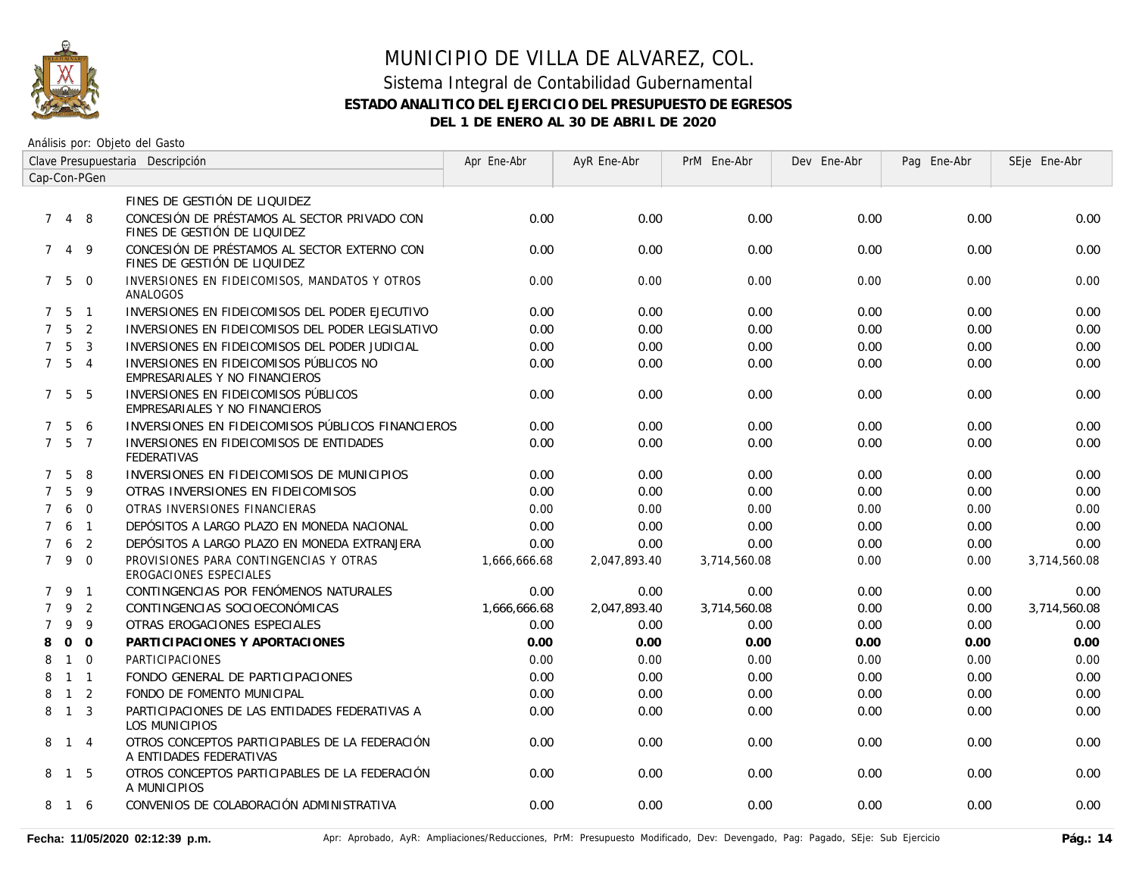

### MUNICIPIO DE VILLA DE ALVAREZ, COL. Sistema Integral de Contabilidad Gubernamental

## **ESTADO ANALITICO DEL EJERCICIO DEL PRESUPUESTO DE EGRESOS**

**DEL 1 DE ENERO AL 30 DE ABRIL DE 2020**

| Clave Presupuestaria Descripción |                   |                |                                                                              | Apr Ene-Abr  | AyR Ene-Abr  | PrM Ene-Abr  | Dev Ene-Abr | Pag Ene-Abr | SEje Ene-Abr |
|----------------------------------|-------------------|----------------|------------------------------------------------------------------------------|--------------|--------------|--------------|-------------|-------------|--------------|
| Cap-Con-PGen                     |                   |                |                                                                              |              |              |              |             |             |              |
|                                  |                   |                | FINES DE GESTIÓN DE LIQUIDEZ                                                 |              |              |              |             |             |              |
|                                  | 7 4 8             |                | CONCESIÓN DE PRÉSTAMOS AL SECTOR PRIVADO CON<br>FINES DE GESTIÓN DE LIQUIDEZ | 0.00         | 0.00         | 0.00         | 0.00        | 0.00        | 0.00         |
| $7^{\circ}$                      | $\overline{4}$    | 9              | CONCESIÓN DE PRÉSTAMOS AL SECTOR EXTERNO CON<br>FINES DE GESTIÓN DE LIQUIDEZ | 0.00         | 0.00         | 0.00         | 0.00        | 0.00        | 0.00         |
|                                  | 750               |                | INVERSIONES EN FIDEICOMISOS, MANDATOS Y OTROS<br>ANALOGOS                    | 0.00         | 0.00         | 0.00         | 0.00        | 0.00        | 0.00         |
|                                  | $7\quad 5\quad 1$ |                | INVERSIONES EN FIDEICOMISOS DEL PODER EJECUTIVO                              | 0.00         | 0.00         | 0.00         | 0.00        | 0.00        | 0.00         |
| $7^{\circ}$                      | 5                 | $\overline{2}$ | INVERSIONES EN FIDEICOMISOS DEL PODER LEGISLATIVO                            | 0.00         | 0.00         | 0.00         | 0.00        | 0.00        | 0.00         |
| $\overline{7}$                   | 5                 | $\overline{3}$ | INVERSIONES EN FIDEICOMISOS DEL PODER JUDICIAL                               | 0.00         | 0.00         | 0.00         | 0.00        | 0.00        | 0.00         |
|                                  | $7\quad 5\quad 4$ |                | INVERSIONES EN FIDEICOMISOS PÚBLICOS NO<br>EMPRESARIALES Y NO FINANCIEROS    | 0.00         | 0.00         | 0.00         | 0.00        | 0.00        | 0.00         |
|                                  | 7 5 5             |                | INVERSIONES EN FIDEICOMISOS PÚBLICOS<br>EMPRESARIALES Y NO FINANCIEROS       | 0.00         | 0.00         | 0.00         | 0.00        | 0.00        | 0.00         |
| $7^{\circ}$                      | 5                 | 6              | INVERSIONES EN FIDEICOMISOS PÚBLICOS FINANCIEROS                             | 0.00         | 0.00         | 0.00         | 0.00        | 0.00        | 0.00         |
| $7^{\circ}$                      | 5                 | $\overline{7}$ | INVERSIONES EN FIDEICOMISOS DE ENTIDADES<br><b>FEDERATIVAS</b>               | 0.00         | 0.00         | 0.00         | 0.00        | 0.00        | 0.00         |
| $7^{\circ}$                      | 5                 | 8              | INVERSIONES EN FIDEICOMISOS DE MUNICIPIOS                                    | 0.00         | 0.00         | 0.00         | 0.00        | 0.00        | 0.00         |
| $\overline{7}$                   | 5                 | 9              | OTRAS INVERSIONES EN FIDEICOMISOS                                            | 0.00         | 0.00         | 0.00         | 0.00        | 0.00        | 0.00         |
| $\overline{7}$                   | 6                 | $\overline{0}$ | OTRAS INVERSIONES FINANCIERAS                                                | 0.00         | 0.00         | 0.00         | 0.00        | 0.00        | 0.00         |
| $\overline{7}$                   | 6                 | $\overline{1}$ | DEPÓSITOS A LARGO PLAZO EN MONEDA NACIONAL                                   | 0.00         | 0.00         | 0.00         | 0.00        | 0.00        | 0.00         |
| $\overline{7}$                   | 6                 | $\overline{2}$ | DEPÓSITOS A LARGO PLAZO EN MONEDA EXTRANJERA                                 | 0.00         | 0.00         | 0.00         | 0.00        | 0.00        | 0.00         |
|                                  | 79                | $\Omega$       | PROVISIONES PARA CONTINGENCIAS Y OTRAS<br>EROGACIONES ESPECIALES             | 1,666,666.68 | 2,047,893.40 | 3.714.560.08 | 0.00        | 0.00        | 3,714,560.08 |
|                                  | 7 9               | $\overline{1}$ | CONTINGENCIAS POR FENÓMENOS NATURALES                                        | 0.00         | 0.00         | 0.00         | 0.00        | 0.00        | 0.00         |
| $\overline{7}$                   | 9                 | 2              | CONTINGENCIAS SOCIOECONÓMICAS                                                | 1,666,666.68 | 2,047,893.40 | 3,714,560.08 | 0.00        | 0.00        | 3,714,560.08 |
| $\overline{7}$                   | 9                 | 9              | OTRAS EROGACIONES ESPECIALES                                                 | 0.00         | 0.00         | 0.00         | 0.00        | 0.00        | 0.00         |
| 8                                | $\Omega$          | $\Omega$       | PARTICIPACIONES Y APORTACIONES                                               | 0.00         | 0.00         | 0.00         | 0.00        | 0.00        | 0.00         |
| 8                                | $\mathbf{1}$      | $\Omega$       | <b>PARTICIPACIONES</b>                                                       | 0.00         | 0.00         | 0.00         | 0.00        | 0.00        | 0.00         |
| 8                                |                   | $1 \quad 1$    | FONDO GENERAL DE PARTICIPACIONES                                             | 0.00         | 0.00         | 0.00         | 0.00        | 0.00        | 0.00         |
| 8                                | $\overline{1}$    | 2              | FONDO DE FOMENTO MUNICIPAL                                                   | 0.00         | 0.00         | 0.00         | 0.00        | 0.00        | 0.00         |
| 8                                | $\overline{1}$    | $\overline{3}$ | PARTICIPACIONES DE LAS ENTIDADES FEDERATIVAS A<br>LOS MUNICIPIOS             | 0.00         | 0.00         | 0.00         | 0.00        | 0.00        | 0.00         |
|                                  | 8 1 4             |                | OTROS CONCEPTOS PARTICIPABLES DE LA FEDERACIÓN<br>A ENTIDADES FEDERATIVAS    | 0.00         | 0.00         | 0.00         | 0.00        | 0.00        | 0.00         |
|                                  | 8 1               | - 5            | OTROS CONCEPTOS PARTICIPABLES DE LA FEDERACIÓN<br>A MUNICIPIOS               | 0.00         | 0.00         | 0.00         | 0.00        | 0.00        | 0.00         |
| 8                                | 16                |                | CONVENIOS DE COLABORACIÓN ADMINISTRATIVA                                     | 0.00         | 0.00         | 0.00         | 0.00        | 0.00        | 0.00         |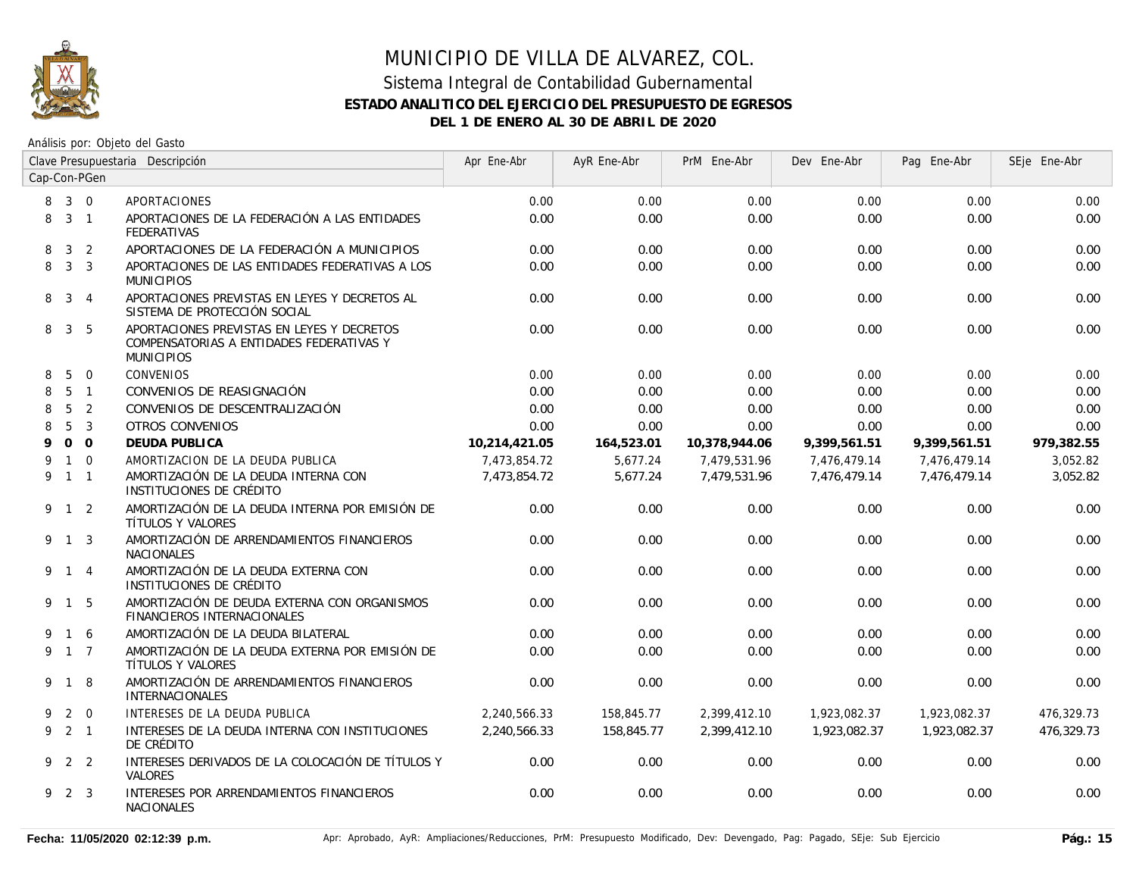

### MUNICIPIO DE VILLA DE ALVAREZ, COL. Sistema Integral de Contabilidad Gubernamental **ESTADO ANALITICO DEL EJERCICIO DEL PRESUPUESTO DE EGRESOS**

**DEL 1 DE ENERO AL 30 DE ABRIL DE 2020**

| Clave Presupuestaria Descripción |                     |                |                                                                                                             | Apr Ene-Abr   | AyR Ene-Abr | PrM Ene-Abr   | Dev Ene-Abr  | Pag Ene-Abr  | SEje Ene-Abr |
|----------------------------------|---------------------|----------------|-------------------------------------------------------------------------------------------------------------|---------------|-------------|---------------|--------------|--------------|--------------|
| Cap-Con-PGen                     |                     |                |                                                                                                             |               |             |               |              |              |              |
| 8                                | $3 \quad 0$         |                | <b>APORTACIONES</b>                                                                                         | 0.00          | 0.00        | 0.00          | 0.00         | 0.00         | 0.00         |
| 8                                |                     | $3 \quad 1$    | APORTACIONES DE LA FEDERACIÓN A LAS ENTIDADES<br><b>FEDERATIVAS</b>                                         | 0.00          | 0.00        | 0.00          | 0.00         | 0.00         | 0.00         |
| 8                                | 3                   | 2              | APORTACIONES DE LA FEDERACIÓN A MUNICIPIOS                                                                  | 0.00          | 0.00        | 0.00          | 0.00         | 0.00         | 0.00         |
| 8                                | 3 <sup>3</sup>      |                | APORTACIONES DE LAS ENTIDADES FEDERATIVAS A LOS<br><b>MUNICIPIOS</b>                                        | 0.00          | 0.00        | 0.00          | 0.00         | 0.00         | 0.00         |
| 8                                |                     | $3 \quad 4$    | APORTACIONES PREVISTAS EN LEYES Y DECRETOS AL<br>SISTEMA DE PROTECCIÓN SOCIAL                               | 0.00          | 0.00        | 0.00          | 0.00         | 0.00         | 0.00         |
| 8                                | 3 <sup>1</sup>      | - 5            | APORTACIONES PREVISTAS EN LEYES Y DECRETOS<br>COMPENSATORIAS A ENTIDADES FEDERATIVAS Y<br><b>MUNICIPIOS</b> | 0.00          | 0.00        | 0.00          | 0.00         | 0.00         | 0.00         |
| 8                                | 5                   | $\overline{0}$ | <b>CONVENIOS</b>                                                                                            | 0.00          | 0.00        | 0.00          | 0.00         | 0.00         | 0.00         |
| 8                                |                     | 5 <sub>1</sub> | CONVENIOS DE REASIGNACIÓN                                                                                   | 0.00          | 0.00        | 0.00          | 0.00         | 0.00         | 0.00         |
| 8                                | $5\overline{)}$     | $\overline{2}$ | CONVENIOS DE DESCENTRALIZACIÓN                                                                              | 0.00          | 0.00        | 0.00          | 0.00         | 0.00         | 0.00         |
| 8                                | 5                   | $\overline{3}$ | <b>OTROS CONVENIOS</b>                                                                                      | 0.00          | 0.00        | 0.00          | 0.00         | 0.00         | 0.00         |
| 9                                |                     | 0 <sub>0</sub> | <b>DEUDA PUBLICA</b>                                                                                        | 10,214,421.05 | 164,523.01  | 10,378,944.06 | 9,399,561.51 | 9,399,561.51 | 979,382.55   |
| 9                                |                     | $1\quad 0$     | AMORTIZACION DE LA DEUDA PUBLICA                                                                            | 7,473,854.72  | 5,677.24    | 7,479,531.96  | 7,476,479.14 | 7,476,479.14 | 3,052.82     |
|                                  | 9 1 1               |                | AMORTIZACIÓN DE LA DEUDA INTERNA CON<br>INSTITUCIONES DE CRÉDITO                                            | 7,473,854.72  | 5,677.24    | 7,479,531.96  | 7,476,479.14 | 7,476,479.14 | 3,052.82     |
|                                  | $9 \quad 1 \quad 2$ |                | AMORTIZACIÓN DE LA DEUDA INTERNA POR EMISIÓN DE<br>TÍTULOS Y VALORES                                        | 0.00          | 0.00        | 0.00          | 0.00         | 0.00         | 0.00         |
|                                  | 9 1 3               |                | AMORTIZACIÓN DE ARRENDAMIENTOS FINANCIEROS<br><b>NACIONALES</b>                                             | 0.00          | 0.00        | 0.00          | 0.00         | 0.00         | 0.00         |
|                                  | 9 1 4               |                | AMORTIZACIÓN DE LA DEUDA EXTERNA CON<br>INSTITUCIONES DE CRÉDITO                                            | 0.00          | 0.00        | 0.00          | 0.00         | 0.00         | 0.00         |
|                                  | 9 1 5               |                | AMORTIZACIÓN DE DEUDA EXTERNA CON ORGANISMOS<br>FINANCIEROS INTERNACIONALES                                 | 0.00          | 0.00        | 0.00          | 0.00         | 0.00         | 0.00         |
| 9                                | 1 6                 |                | AMORTIZACIÓN DE LA DEUDA BILATERAL                                                                          | 0.00          | 0.00        | 0.00          | 0.00         | 0.00         | 0.00         |
|                                  | 9 1 7               |                | AMORTIZACIÓN DE LA DEUDA EXTERNA POR EMISIÓN DE<br>TÍTULOS Y VALORES                                        | 0.00          | 0.00        | 0.00          | 0.00         | 0.00         | 0.00         |
|                                  | 9 1                 | 8              | AMORTIZACIÓN DE ARRENDAMIENTOS FINANCIEROS<br>INTERNACIONALES                                               | 0.00          | 0.00        | 0.00          | 0.00         | 0.00         | 0.00         |
| 9                                |                     | $2 \quad 0$    | INTERESES DE LA DEUDA PUBLICA                                                                               | 2,240,566.33  | 158,845.77  | 2,399,412.10  | 1,923,082.37 | 1,923,082.37 | 476,329.73   |
|                                  | $9$ 2 1             |                | INTERESES DE LA DEUDA INTERNA CON INSTITUCIONES<br>DE CRÉDITO                                               | 2,240,566.33  | 158,845.77  | 2,399,412.10  | 1,923,082.37 | 1,923,082.37 | 476,329.73   |
|                                  | 9 2 2               |                | INTERESES DERIVADOS DE LA COLOCACIÓN DE TÍTULOS Y<br><b>VALORES</b>                                         | 0.00          | 0.00        | 0.00          | 0.00         | 0.00         | 0.00         |
|                                  | 9 2 3               |                | INTERESES POR ARRENDAMIENTOS FINANCIEROS<br><b>NACIONALES</b>                                               | 0.00          | 0.00        | 0.00          | 0.00         | 0.00         | 0.00         |